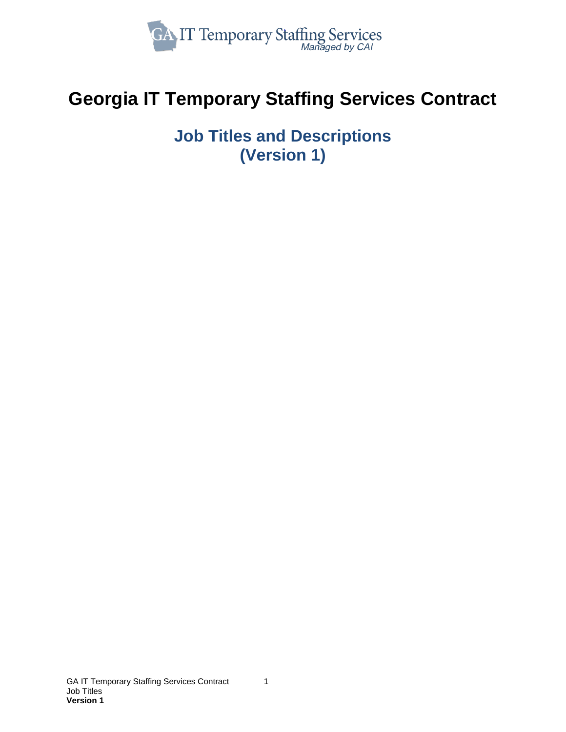

# **Georgia IT Temporary Staffing Services Contract**

**Job Titles and Descriptions (Version 1)**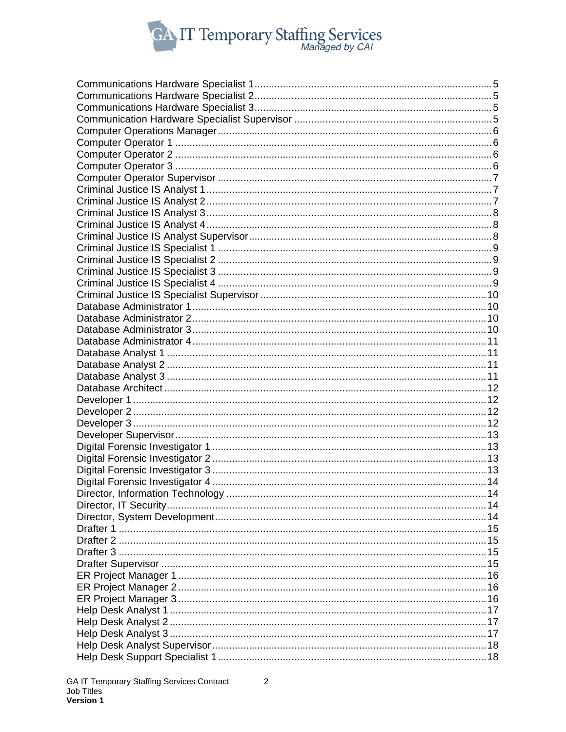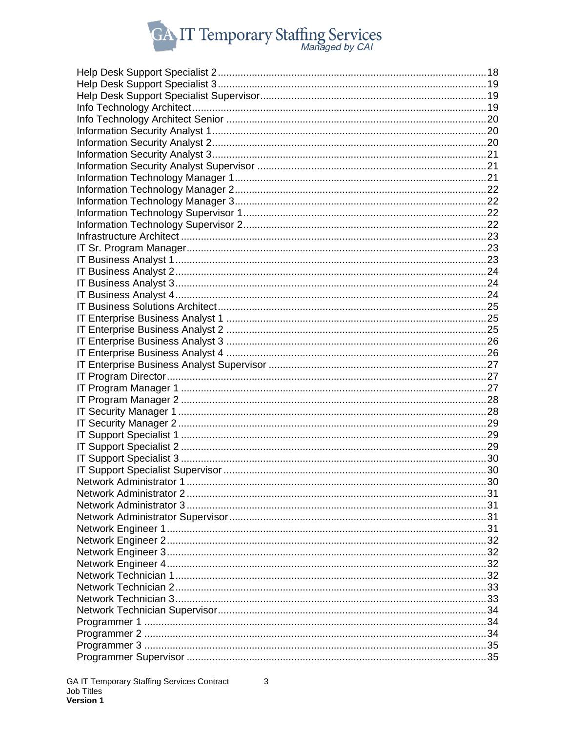

| 30. |
|-----|
|     |
|     |
|     |
|     |
|     |
|     |
|     |
|     |
|     |
|     |
|     |
|     |
|     |
|     |
|     |
|     |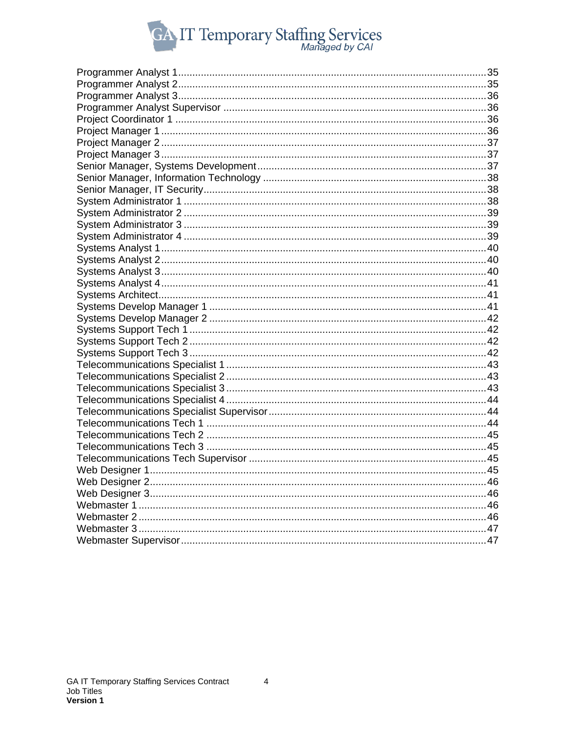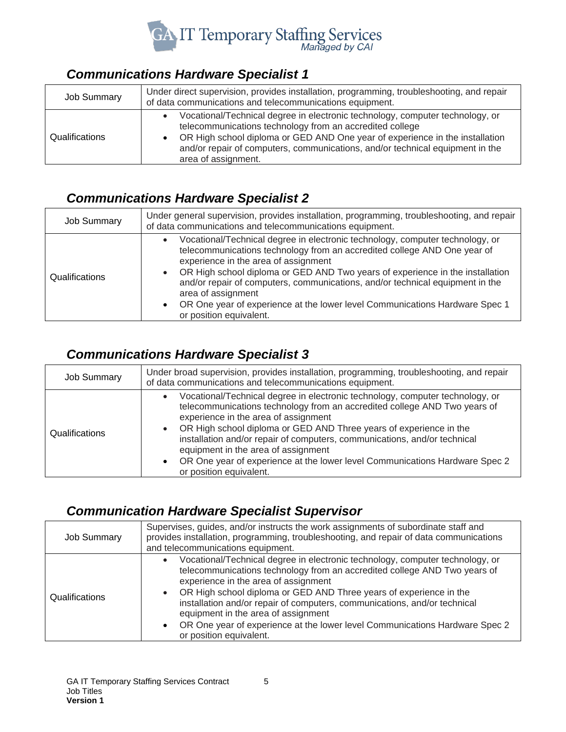

#### <span id="page-4-0"></span>*Communications Hardware Specialist 1*

| <b>Job Summary</b> | Under direct supervision, provides installation, programming, troubleshooting, and repair<br>of data communications and telecommunications equipment.                                                                                                                                                                             |
|--------------------|-----------------------------------------------------------------------------------------------------------------------------------------------------------------------------------------------------------------------------------------------------------------------------------------------------------------------------------|
| Qualifications     | Vocational/Technical degree in electronic technology, computer technology, or<br>telecommunications technology from an accredited college<br>OR High school diploma or GED AND One year of experience in the installation<br>and/or repair of computers, communications, and/or technical equipment in the<br>area of assignment. |

#### <span id="page-4-1"></span>*Communications Hardware Specialist 2*

| <b>Job Summary</b> | Under general supervision, provides installation, programming, troubleshooting, and repair<br>of data communications and telecommunications equipment.                                                                                                                                                                                                                                                                                                                                              |
|--------------------|-----------------------------------------------------------------------------------------------------------------------------------------------------------------------------------------------------------------------------------------------------------------------------------------------------------------------------------------------------------------------------------------------------------------------------------------------------------------------------------------------------|
| Qualifications     | Vocational/Technical degree in electronic technology, computer technology, or<br>telecommunications technology from an accredited college AND One year of<br>experience in the area of assignment<br>OR High school diploma or GED AND Two years of experience in the installation<br>and/or repair of computers, communications, and/or technical equipment in the<br>area of assignment<br>OR One year of experience at the lower level Communications Hardware Spec 1<br>or position equivalent. |

#### <span id="page-4-2"></span>*Communications Hardware Specialist 3*

| <b>Job Summary</b> | Under broad supervision, provides installation, programming, troubleshooting, and repair<br>of data communications and telecommunications equipment.                                                                                                                                                                                                                                                                                                                                                                             |
|--------------------|----------------------------------------------------------------------------------------------------------------------------------------------------------------------------------------------------------------------------------------------------------------------------------------------------------------------------------------------------------------------------------------------------------------------------------------------------------------------------------------------------------------------------------|
| Qualifications     | Vocational/Technical degree in electronic technology, computer technology, or<br>$\bullet$<br>telecommunications technology from an accredited college AND Two years of<br>experience in the area of assignment<br>OR High school diploma or GED AND Three years of experience in the<br>installation and/or repair of computers, communications, and/or technical<br>equipment in the area of assignment<br>OR One year of experience at the lower level Communications Hardware Spec 2<br>$\bullet$<br>or position equivalent. |

## <span id="page-4-3"></span>*Communication Hardware Specialist Supervisor*

| <b>Job Summary</b> | Supervises, guides, and/or instructs the work assignments of subordinate staff and<br>provides installation, programming, troubleshooting, and repair of data communications<br>and telecommunications equipment.                                                                                                                                                                                                                                                                                      |
|--------------------|--------------------------------------------------------------------------------------------------------------------------------------------------------------------------------------------------------------------------------------------------------------------------------------------------------------------------------------------------------------------------------------------------------------------------------------------------------------------------------------------------------|
| Qualifications     | Vocational/Technical degree in electronic technology, computer technology, or<br>telecommunications technology from an accredited college AND Two years of<br>experience in the area of assignment<br>OR High school diploma or GED AND Three years of experience in the<br>installation and/or repair of computers, communications, and/or technical<br>equipment in the area of assignment<br>OR One year of experience at the lower level Communications Hardware Spec 2<br>or position equivalent. |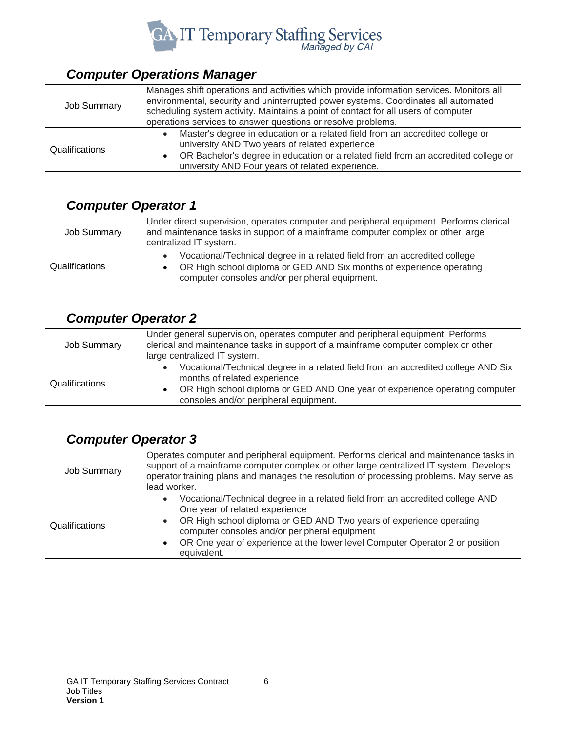

## <span id="page-5-0"></span>*Computer Operations Manager*

| <b>Job Summary</b> | Manages shift operations and activities which provide information services. Monitors all<br>environmental, security and uninterrupted power systems. Coordinates all automated<br>scheduling system activity. Maintains a point of contact for all users of computer<br>operations services to answer questions or resolve problems. |
|--------------------|--------------------------------------------------------------------------------------------------------------------------------------------------------------------------------------------------------------------------------------------------------------------------------------------------------------------------------------|
| Qualifications     | Master's degree in education or a related field from an accredited college or<br>university AND Two years of related experience<br>OR Bachelor's degree in education or a related field from an accredited college or<br>university AND Four years of related experience.                                                            |

## <span id="page-5-1"></span>*Computer Operator 1*

| Job Summary    | Under direct supervision, operates computer and peripheral equipment. Performs clerical<br>and maintenance tasks in support of a mainframe computer complex or other large<br>centralized IT system. |
|----------------|------------------------------------------------------------------------------------------------------------------------------------------------------------------------------------------------------|
| Qualifications | Vocational/Technical degree in a related field from an accredited college<br>OR High school diploma or GED AND Six months of experience operating<br>computer consoles and/or peripheral equipment.  |

## <span id="page-5-2"></span>*Computer Operator 2*

| <b>Job Summary</b> | Under general supervision, operates computer and peripheral equipment. Performs<br>clerical and maintenance tasks in support of a mainframe computer complex or other<br>large centralized IT system.                                     |
|--------------------|-------------------------------------------------------------------------------------------------------------------------------------------------------------------------------------------------------------------------------------------|
| Qualifications     | Vocational/Technical degree in a related field from an accredited college AND Six<br>months of related experience<br>OR High school diploma or GED AND One year of experience operating computer<br>consoles and/or peripheral equipment. |

## <span id="page-5-3"></span>*Computer Operator 3*

| <b>Job Summary</b> | Operates computer and peripheral equipment. Performs clerical and maintenance tasks in<br>support of a mainframe computer complex or other large centralized IT system. Develops<br>operator training plans and manages the resolution of processing problems. May serve as<br>lead worker.                                                         |
|--------------------|-----------------------------------------------------------------------------------------------------------------------------------------------------------------------------------------------------------------------------------------------------------------------------------------------------------------------------------------------------|
| Qualifications     | Vocational/Technical degree in a related field from an accredited college AND<br>One year of related experience<br>OR High school diploma or GED AND Two years of experience operating<br>$\bullet$<br>computer consoles and/or peripheral equipment<br>OR One year of experience at the lower level Computer Operator 2 or position<br>equivalent. |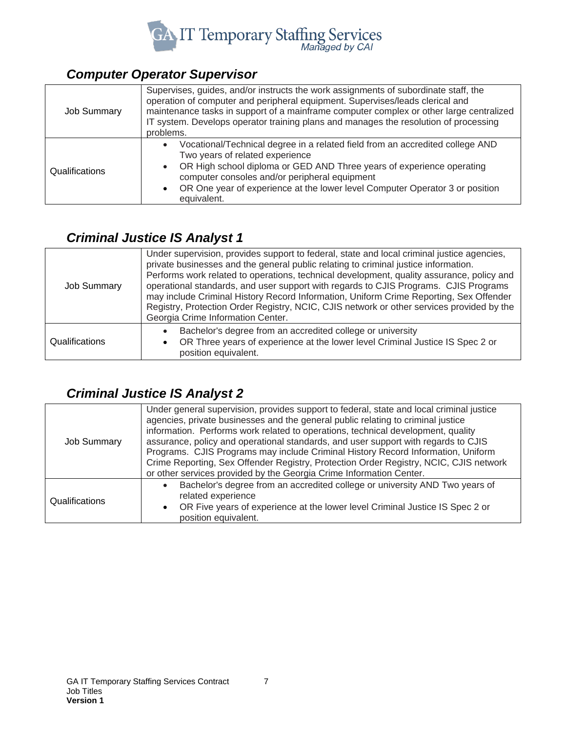

#### <span id="page-6-0"></span>*Computer Operator Supervisor*

| <b>Job Summary</b> | Supervises, guides, and/or instructs the work assignments of subordinate staff, the<br>operation of computer and peripheral equipment. Supervises/leads clerical and<br>maintenance tasks in support of a mainframe computer complex or other large centralized<br>IT system. Develops operator training plans and manages the resolution of processing<br>problems. |
|--------------------|----------------------------------------------------------------------------------------------------------------------------------------------------------------------------------------------------------------------------------------------------------------------------------------------------------------------------------------------------------------------|
| Qualifications     | Vocational/Technical degree in a related field from an accredited college AND<br>$\bullet$<br>Two years of related experience<br>OR High school diploma or GED AND Three years of experience operating<br>$\bullet$<br>computer consoles and/or peripheral equipment<br>OR One year of experience at the lower level Computer Operator 3 or position<br>equivalent.  |

## <span id="page-6-1"></span>*Criminal Justice IS Analyst 1*

| Job Summary    | Under supervision, provides support to federal, state and local criminal justice agencies,<br>private businesses and the general public relating to criminal justice information.<br>Performs work related to operations, technical development, quality assurance, policy and<br>operational standards, and user support with regards to CJIS Programs. CJIS Programs<br>may include Criminal History Record Information, Uniform Crime Reporting, Sex Offender<br>Registry, Protection Order Registry, NCIC, CJIS network or other services provided by the<br>Georgia Crime Information Center. |
|----------------|----------------------------------------------------------------------------------------------------------------------------------------------------------------------------------------------------------------------------------------------------------------------------------------------------------------------------------------------------------------------------------------------------------------------------------------------------------------------------------------------------------------------------------------------------------------------------------------------------|
| Qualifications | Bachelor's degree from an accredited college or university<br>OR Three years of experience at the lower level Criminal Justice IS Spec 2 or<br>position equivalent.                                                                                                                                                                                                                                                                                                                                                                                                                                |

## <span id="page-6-2"></span>*Criminal Justice IS Analyst 2*

| <b>Job Summary</b> | Under general supervision, provides support to federal, state and local criminal justice<br>agencies, private businesses and the general public relating to criminal justice<br>information. Performs work related to operations, technical development, quality<br>assurance, policy and operational standards, and user support with regards to CJIS<br>Programs. CJIS Programs may include Criminal History Record Information, Uniform<br>Crime Reporting, Sex Offender Registry, Protection Order Registry, NCIC, CJIS network<br>or other services provided by the Georgia Crime Information Center. |
|--------------------|------------------------------------------------------------------------------------------------------------------------------------------------------------------------------------------------------------------------------------------------------------------------------------------------------------------------------------------------------------------------------------------------------------------------------------------------------------------------------------------------------------------------------------------------------------------------------------------------------------|
| Qualifications     | Bachelor's degree from an accredited college or university AND Two years of<br>related experience<br>OR Five years of experience at the lower level Criminal Justice IS Spec 2 or<br>$\bullet$<br>position equivalent.                                                                                                                                                                                                                                                                                                                                                                                     |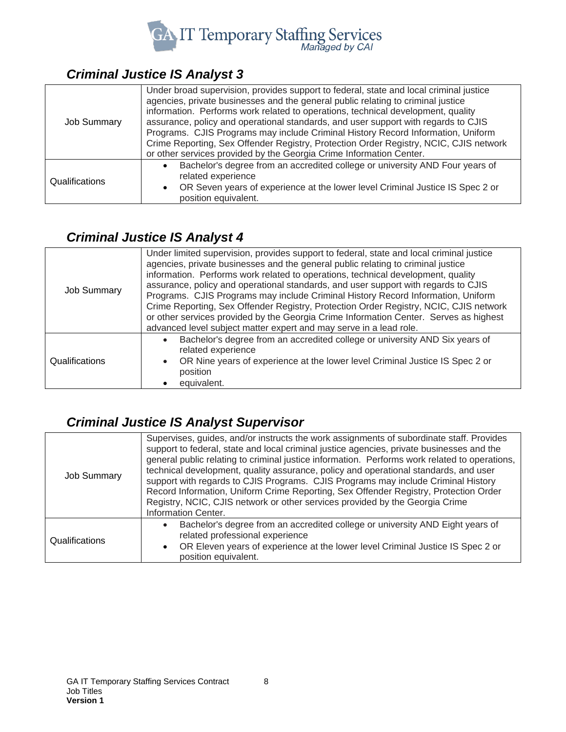

#### <span id="page-7-0"></span>*Criminal Justice IS Analyst 3*

| <b>Job Summary</b> | Under broad supervision, provides support to federal, state and local criminal justice<br>agencies, private businesses and the general public relating to criminal justice<br>information. Performs work related to operations, technical development, quality<br>assurance, policy and operational standards, and user support with regards to CJIS<br>Programs. CJIS Programs may include Criminal History Record Information, Uniform<br>Crime Reporting, Sex Offender Registry, Protection Order Registry, NCIC, CJIS network<br>or other services provided by the Georgia Crime Information Center. |
|--------------------|----------------------------------------------------------------------------------------------------------------------------------------------------------------------------------------------------------------------------------------------------------------------------------------------------------------------------------------------------------------------------------------------------------------------------------------------------------------------------------------------------------------------------------------------------------------------------------------------------------|
| Qualifications     | Bachelor's degree from an accredited college or university AND Four years of<br>related experience<br>• OR Seven years of experience at the lower level Criminal Justice IS Spec 2 or<br>position equivalent.                                                                                                                                                                                                                                                                                                                                                                                            |

#### <span id="page-7-1"></span>*Criminal Justice IS Analyst 4*

| <b>Job Summary</b> | Under limited supervision, provides support to federal, state and local criminal justice<br>agencies, private businesses and the general public relating to criminal justice<br>information. Performs work related to operations, technical development, quality<br>assurance, policy and operational standards, and user support with regards to CJIS<br>Programs. CJIS Programs may include Criminal History Record Information, Uniform<br>Crime Reporting, Sex Offender Registry, Protection Order Registry, NCIC, CJIS network<br>or other services provided by the Georgia Crime Information Center. Serves as highest<br>advanced level subject matter expert and may serve in a lead role. |
|--------------------|----------------------------------------------------------------------------------------------------------------------------------------------------------------------------------------------------------------------------------------------------------------------------------------------------------------------------------------------------------------------------------------------------------------------------------------------------------------------------------------------------------------------------------------------------------------------------------------------------------------------------------------------------------------------------------------------------|
| Qualifications     | Bachelor's degree from an accredited college or university AND Six years of<br>related experience<br>OR Nine years of experience at the lower level Criminal Justice IS Spec 2 or<br>$\bullet$<br>position<br>equivalent.                                                                                                                                                                                                                                                                                                                                                                                                                                                                          |

## <span id="page-7-2"></span>*Criminal Justice IS Analyst Supervisor*

| <b>Job Summary</b> | Supervises, guides, and/or instructs the work assignments of subordinate staff. Provides<br>support to federal, state and local criminal justice agencies, private businesses and the<br>general public relating to criminal justice information. Performs work related to operations,<br>technical development, quality assurance, policy and operational standards, and user<br>support with regards to CJIS Programs. CJIS Programs may include Criminal History<br>Record Information, Uniform Crime Reporting, Sex Offender Registry, Protection Order<br>Registry, NCIC, CJIS network or other services provided by the Georgia Crime<br>Information Center. |
|--------------------|--------------------------------------------------------------------------------------------------------------------------------------------------------------------------------------------------------------------------------------------------------------------------------------------------------------------------------------------------------------------------------------------------------------------------------------------------------------------------------------------------------------------------------------------------------------------------------------------------------------------------------------------------------------------|
| Qualifications     | Bachelor's degree from an accredited college or university AND Eight years of<br>$\bullet$<br>related professional experience<br>OR Eleven years of experience at the lower level Criminal Justice IS Spec 2 or<br>$\bullet$<br>position equivalent.                                                                                                                                                                                                                                                                                                                                                                                                               |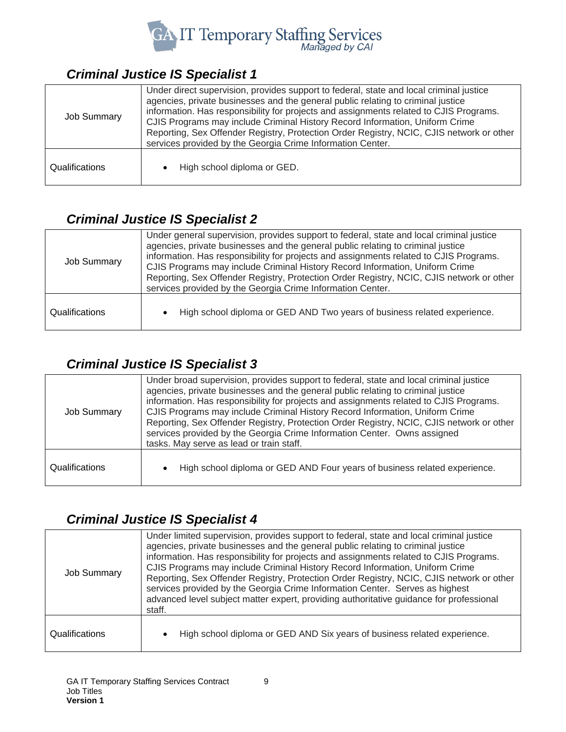

#### <span id="page-8-0"></span>*Criminal Justice IS Specialist 1*

| <b>Job Summary</b> | Under direct supervision, provides support to federal, state and local criminal justice<br>agencies, private businesses and the general public relating to criminal justice<br>information. Has responsibility for projects and assignments related to CJIS Programs.<br>CJIS Programs may include Criminal History Record Information, Uniform Crime<br>Reporting, Sex Offender Registry, Protection Order Registry, NCIC, CJIS network or other<br>services provided by the Georgia Crime Information Center. |
|--------------------|-----------------------------------------------------------------------------------------------------------------------------------------------------------------------------------------------------------------------------------------------------------------------------------------------------------------------------------------------------------------------------------------------------------------------------------------------------------------------------------------------------------------|
| Qualifications     | High school diploma or GED.                                                                                                                                                                                                                                                                                                                                                                                                                                                                                     |

## <span id="page-8-1"></span>*Criminal Justice IS Specialist 2*

| <b>Job Summary</b> | Under general supervision, provides support to federal, state and local criminal justice<br>agencies, private businesses and the general public relating to criminal justice<br>information. Has responsibility for projects and assignments related to CJIS Programs.<br>CJIS Programs may include Criminal History Record Information, Uniform Crime<br>Reporting, Sex Offender Registry, Protection Order Registry, NCIC, CJIS network or other<br>services provided by the Georgia Crime Information Center. |
|--------------------|------------------------------------------------------------------------------------------------------------------------------------------------------------------------------------------------------------------------------------------------------------------------------------------------------------------------------------------------------------------------------------------------------------------------------------------------------------------------------------------------------------------|
| Qualifications     | High school diploma or GED AND Two years of business related experience.                                                                                                                                                                                                                                                                                                                                                                                                                                         |

#### <span id="page-8-2"></span>*Criminal Justice IS Specialist 3*

| <b>Job Summary</b> | Under broad supervision, provides support to federal, state and local criminal justice<br>agencies, private businesses and the general public relating to criminal justice<br>information. Has responsibility for projects and assignments related to CJIS Programs.<br>CJIS Programs may include Criminal History Record Information, Uniform Crime<br>Reporting, Sex Offender Registry, Protection Order Registry, NCIC, CJIS network or other<br>services provided by the Georgia Crime Information Center. Owns assigned<br>tasks. May serve as lead or train staff. |
|--------------------|--------------------------------------------------------------------------------------------------------------------------------------------------------------------------------------------------------------------------------------------------------------------------------------------------------------------------------------------------------------------------------------------------------------------------------------------------------------------------------------------------------------------------------------------------------------------------|
| Qualifications     | High school diploma or GED AND Four years of business related experience.                                                                                                                                                                                                                                                                                                                                                                                                                                                                                                |

#### <span id="page-8-3"></span>*Criminal Justice IS Specialist 4*

| Job Summary    | Under limited supervision, provides support to federal, state and local criminal justice<br>agencies, private businesses and the general public relating to criminal justice<br>information. Has responsibility for projects and assignments related to CJIS Programs.<br>CJIS Programs may include Criminal History Record Information, Uniform Crime<br>Reporting, Sex Offender Registry, Protection Order Registry, NCIC, CJIS network or other<br>services provided by the Georgia Crime Information Center. Serves as highest<br>advanced level subject matter expert, providing authoritative guidance for professional<br>staff. |
|----------------|-----------------------------------------------------------------------------------------------------------------------------------------------------------------------------------------------------------------------------------------------------------------------------------------------------------------------------------------------------------------------------------------------------------------------------------------------------------------------------------------------------------------------------------------------------------------------------------------------------------------------------------------|
| Qualifications | High school diploma or GED AND Six years of business related experience.                                                                                                                                                                                                                                                                                                                                                                                                                                                                                                                                                                |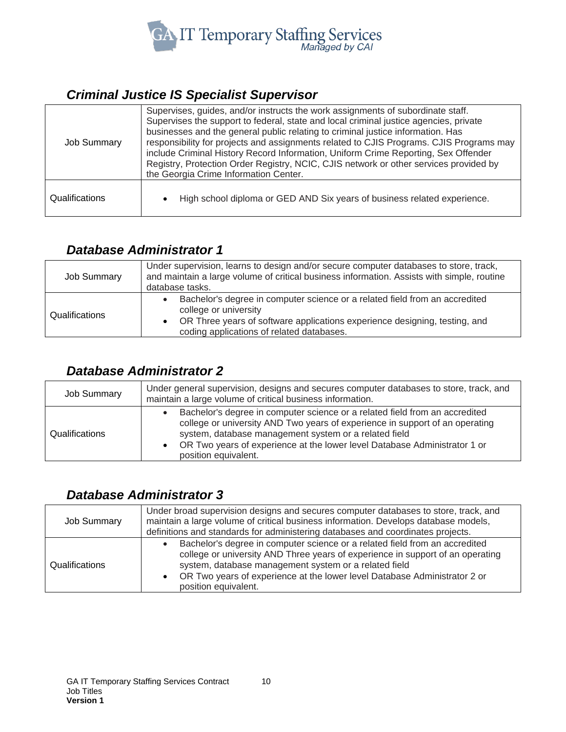

#### <span id="page-9-0"></span>*Criminal Justice IS Specialist Supervisor*

| <b>Job Summary</b> | Supervises, guides, and/or instructs the work assignments of subordinate staff.<br>Supervises the support to federal, state and local criminal justice agencies, private<br>businesses and the general public relating to criminal justice information. Has<br>responsibility for projects and assignments related to CJIS Programs. CJIS Programs may<br>include Criminal History Record Information, Uniform Crime Reporting, Sex Offender<br>Registry, Protection Order Registry, NCIC, CJIS network or other services provided by<br>the Georgia Crime Information Center. |
|--------------------|--------------------------------------------------------------------------------------------------------------------------------------------------------------------------------------------------------------------------------------------------------------------------------------------------------------------------------------------------------------------------------------------------------------------------------------------------------------------------------------------------------------------------------------------------------------------------------|
| Qualifications     | High school diploma or GED AND Six years of business related experience.                                                                                                                                                                                                                                                                                                                                                                                                                                                                                                       |

#### <span id="page-9-1"></span>*Database Administrator 1*

| Job Summary    | Under supervision, learns to design and/or secure computer databases to store, track,<br>and maintain a large volume of critical business information. Assists with simple, routine<br>database tasks.                            |
|----------------|-----------------------------------------------------------------------------------------------------------------------------------------------------------------------------------------------------------------------------------|
| Qualifications | Bachelor's degree in computer science or a related field from an accredited<br>college or university<br>• OR Three years of software applications experience designing, testing, and<br>coding applications of related databases. |

#### <span id="page-9-2"></span>*Database Administrator 2*

| Job Summary    | Under general supervision, designs and secures computer databases to store, track, and<br>maintain a large volume of critical business information.                                                                                                                                                                       |
|----------------|---------------------------------------------------------------------------------------------------------------------------------------------------------------------------------------------------------------------------------------------------------------------------------------------------------------------------|
| Qualifications | Bachelor's degree in computer science or a related field from an accredited<br>college or university AND Two years of experience in support of an operating<br>system, database management system or a related field<br>OR Two years of experience at the lower level Database Administrator 1 or<br>position equivalent. |

#### <span id="page-9-3"></span>*Database Administrator 3*

| <b>Job Summary</b> | Under broad supervision designs and secures computer databases to store, track, and<br>maintain a large volume of critical business information. Develops database models,<br>definitions and standards for administering databases and coordinates projects.                                                               |
|--------------------|-----------------------------------------------------------------------------------------------------------------------------------------------------------------------------------------------------------------------------------------------------------------------------------------------------------------------------|
| Qualifications     | Bachelor's degree in computer science or a related field from an accredited<br>college or university AND Three years of experience in support of an operating<br>system, database management system or a related field<br>OR Two years of experience at the lower level Database Administrator 2 or<br>position equivalent. |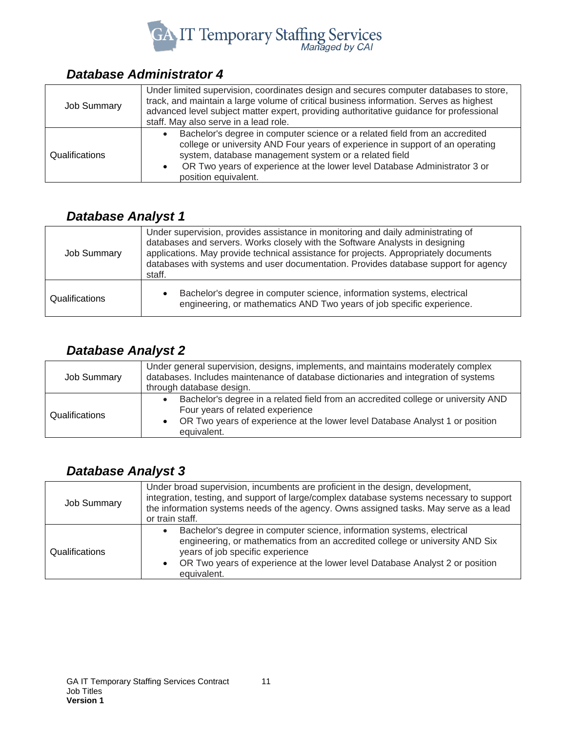

#### <span id="page-10-0"></span>*Database Administrator 4*

| <b>Job Summary</b> | Under limited supervision, coordinates design and secures computer databases to store,<br>track, and maintain a large volume of critical business information. Serves as highest<br>advanced level subject matter expert, providing authoritative guidance for professional<br>staff. May also serve in a lead role.       |
|--------------------|----------------------------------------------------------------------------------------------------------------------------------------------------------------------------------------------------------------------------------------------------------------------------------------------------------------------------|
| Qualifications     | Bachelor's degree in computer science or a related field from an accredited<br>college or university AND Four years of experience in support of an operating<br>system, database management system or a related field<br>OR Two years of experience at the lower level Database Administrator 3 or<br>position equivalent. |

## <span id="page-10-1"></span>*Database Analyst 1*

| <b>Job Summary</b> | Under supervision, provides assistance in monitoring and daily administrating of<br>databases and servers. Works closely with the Software Analysts in designing<br>applications. May provide technical assistance for projects. Appropriately documents<br>databases with systems and user documentation. Provides database support for agency<br>staff. |
|--------------------|-----------------------------------------------------------------------------------------------------------------------------------------------------------------------------------------------------------------------------------------------------------------------------------------------------------------------------------------------------------|
| Qualifications     | Bachelor's degree in computer science, information systems, electrical<br>engineering, or mathematics AND Two years of job specific experience.                                                                                                                                                                                                           |

#### <span id="page-10-2"></span>*Database Analyst 2*

| <b>Job Summary</b> | Under general supervision, designs, implements, and maintains moderately complex<br>databases. Includes maintenance of database dictionaries and integration of systems<br>through database design.                  |
|--------------------|----------------------------------------------------------------------------------------------------------------------------------------------------------------------------------------------------------------------|
| Qualifications     | Bachelor's degree in a related field from an accredited college or university AND<br>Four years of related experience<br>OR Two years of experience at the lower level Database Analyst 1 or position<br>equivalent. |

#### <span id="page-10-3"></span>*Database Analyst 3*

| <b>Job Summary</b> | Under broad supervision, incumbents are proficient in the design, development,<br>integration, testing, and support of large/complex database systems necessary to support<br>the information systems needs of the agency. Owns assigned tasks. May serve as a lead<br>or train staff.    |
|--------------------|-------------------------------------------------------------------------------------------------------------------------------------------------------------------------------------------------------------------------------------------------------------------------------------------|
| Qualifications     | Bachelor's degree in computer science, information systems, electrical<br>engineering, or mathematics from an accredited college or university AND Six<br>years of job specific experience<br>OR Two years of experience at the lower level Database Analyst 2 or position<br>equivalent. |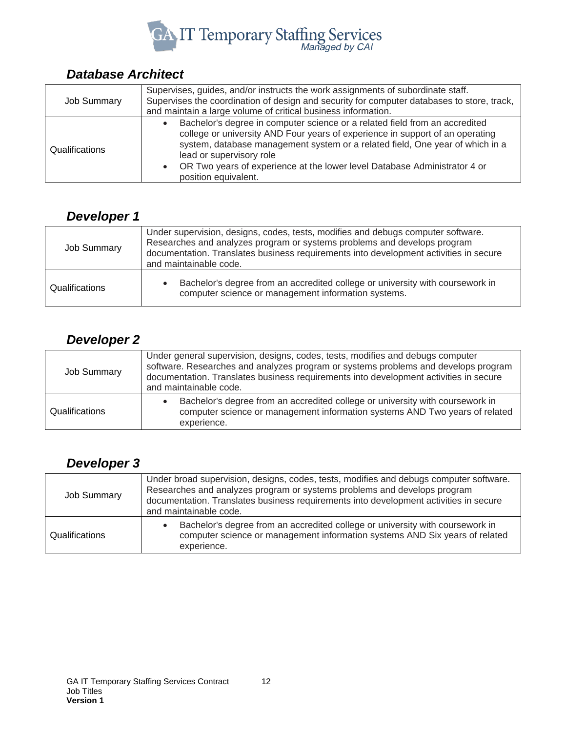

## <span id="page-11-0"></span>*Database Architect*

| <b>Job Summary</b>    | Supervises, guides, and/or instructs the work assignments of subordinate staff.<br>Supervises the coordination of design and security for computer databases to store, track,<br>and maintain a large volume of critical business information.                                                                                                                                 |
|-----------------------|--------------------------------------------------------------------------------------------------------------------------------------------------------------------------------------------------------------------------------------------------------------------------------------------------------------------------------------------------------------------------------|
| <b>Qualifications</b> | Bachelor's degree in computer science or a related field from an accredited<br>college or university AND Four years of experience in support of an operating<br>system, database management system or a related field, One year of which in a<br>lead or supervisory role<br>OR Two years of experience at the lower level Database Administrator 4 or<br>position equivalent. |

## <span id="page-11-1"></span>*Developer 1*

| <b>Job Summary</b>    | Under supervision, designs, codes, tests, modifies and debugs computer software.<br>Researches and analyzes program or systems problems and develops program<br>documentation. Translates business requirements into development activities in secure<br>and maintainable code. |
|-----------------------|---------------------------------------------------------------------------------------------------------------------------------------------------------------------------------------------------------------------------------------------------------------------------------|
| <b>Qualifications</b> | Bachelor's degree from an accredited college or university with coursework in<br>computer science or management information systems.                                                                                                                                            |

## <span id="page-11-2"></span>*Developer 2*

| <b>Job Summary</b> | Under general supervision, designs, codes, tests, modifies and debugs computer<br>software. Researches and analyzes program or systems problems and develops program<br>documentation. Translates business requirements into development activities in secure<br>and maintainable code. |
|--------------------|-----------------------------------------------------------------------------------------------------------------------------------------------------------------------------------------------------------------------------------------------------------------------------------------|
| Qualifications     | Bachelor's degree from an accredited college or university with coursework in<br>computer science or management information systems AND Two years of related<br>experience.                                                                                                             |

## <span id="page-11-3"></span>*Developer 3*

| <b>Job Summary</b> | Under broad supervision, designs, codes, tests, modifies and debugs computer software.<br>Researches and analyzes program or systems problems and develops program<br>documentation. Translates business requirements into development activities in secure<br>and maintainable code. |
|--------------------|---------------------------------------------------------------------------------------------------------------------------------------------------------------------------------------------------------------------------------------------------------------------------------------|
| Qualifications     | Bachelor's degree from an accredited college or university with coursework in<br>computer science or management information systems AND Six years of related<br>experience.                                                                                                           |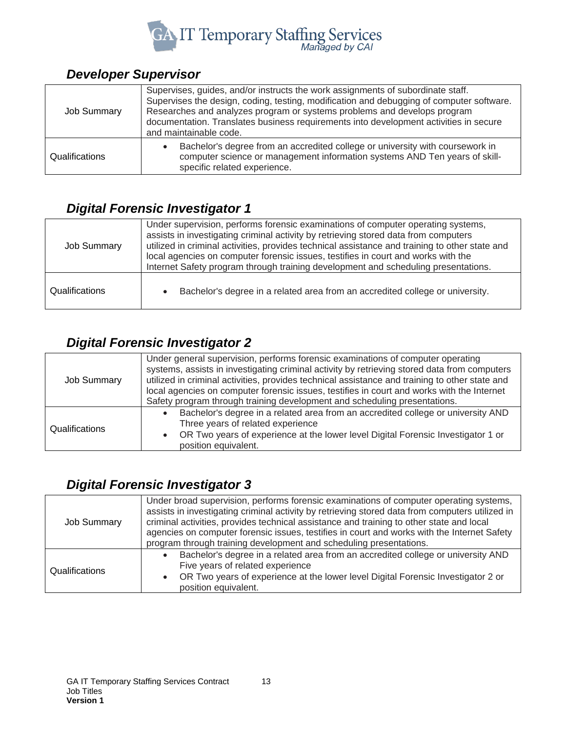

## <span id="page-12-0"></span>*Developer Supervisor*

| <b>Job Summary</b> | Supervises, guides, and/or instructs the work assignments of subordinate staff.<br>Supervises the design, coding, testing, modification and debugging of computer software.<br>Researches and analyzes program or systems problems and develops program<br>documentation. Translates business requirements into development activities in secure<br>and maintainable code. |
|--------------------|----------------------------------------------------------------------------------------------------------------------------------------------------------------------------------------------------------------------------------------------------------------------------------------------------------------------------------------------------------------------------|
| Qualifications     | Bachelor's degree from an accredited college or university with coursework in<br>computer science or management information systems AND Ten years of skill-<br>specific related experience.                                                                                                                                                                                |

#### <span id="page-12-1"></span>*Digital Forensic Investigator 1*

| <b>Job Summary</b> | Under supervision, performs forensic examinations of computer operating systems,<br>assists in investigating criminal activity by retrieving stored data from computers<br>utilized in criminal activities, provides technical assistance and training to other state and<br>local agencies on computer forensic issues, testifies in court and works with the<br>Internet Safety program through training development and scheduling presentations. |
|--------------------|------------------------------------------------------------------------------------------------------------------------------------------------------------------------------------------------------------------------------------------------------------------------------------------------------------------------------------------------------------------------------------------------------------------------------------------------------|
| Qualifications     | Bachelor's degree in a related area from an accredited college or university.                                                                                                                                                                                                                                                                                                                                                                        |

## <span id="page-12-2"></span>*Digital Forensic Investigator 2*

| <b>Job Summary</b> | Under general supervision, performs forensic examinations of computer operating<br>systems, assists in investigating criminal activity by retrieving stored data from computers<br>utilized in criminal activities, provides technical assistance and training to other state and<br>local agencies on computer forensic issues, testifies in court and works with the Internet<br>Safety program through training development and scheduling presentations. |
|--------------------|--------------------------------------------------------------------------------------------------------------------------------------------------------------------------------------------------------------------------------------------------------------------------------------------------------------------------------------------------------------------------------------------------------------------------------------------------------------|
| Qualifications     | Bachelor's degree in a related area from an accredited college or university AND<br>Three years of related experience<br>OR Two years of experience at the lower level Digital Forensic Investigator 1 or<br>position equivalent.                                                                                                                                                                                                                            |

## <span id="page-12-3"></span>*Digital Forensic Investigator 3*

| <b>Job Summary</b> | Under broad supervision, performs forensic examinations of computer operating systems,<br>assists in investigating criminal activity by retrieving stored data from computers utilized in<br>criminal activities, provides technical assistance and training to other state and local<br>agencies on computer forensic issues, testifies in court and works with the Internet Safety<br>program through training development and scheduling presentations. |
|--------------------|------------------------------------------------------------------------------------------------------------------------------------------------------------------------------------------------------------------------------------------------------------------------------------------------------------------------------------------------------------------------------------------------------------------------------------------------------------|
| Qualifications     | Bachelor's degree in a related area from an accredited college or university AND<br>Five years of related experience<br>OR Two years of experience at the lower level Digital Forensic Investigator 2 or<br>position equivalent.                                                                                                                                                                                                                           |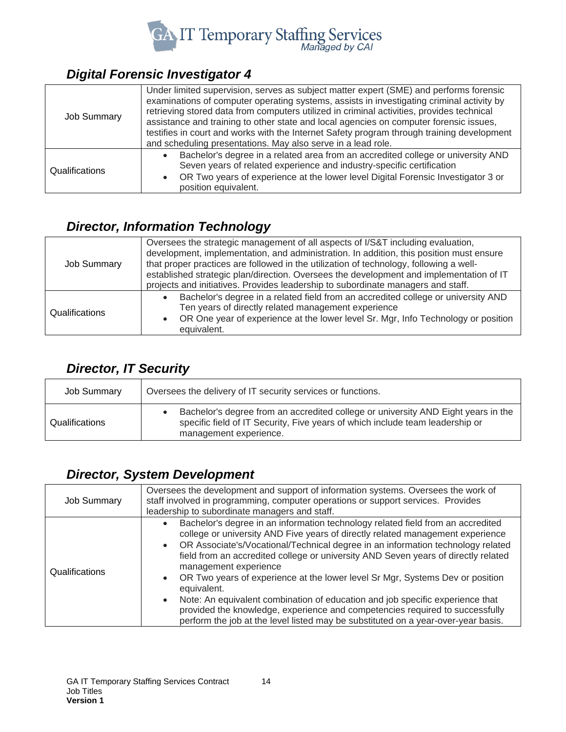

## <span id="page-13-0"></span>*Digital Forensic Investigator 4*

| <b>Job Summary</b>    | Under limited supervision, serves as subject matter expert (SME) and performs forensic<br>examinations of computer operating systems, assists in investigating criminal activity by<br>retrieving stored data from computers utilized in criminal activities, provides technical<br>assistance and training to other state and local agencies on computer forensic issues,<br>testifies in court and works with the Internet Safety program through training development<br>and scheduling presentations. May also serve in a lead role. |
|-----------------------|------------------------------------------------------------------------------------------------------------------------------------------------------------------------------------------------------------------------------------------------------------------------------------------------------------------------------------------------------------------------------------------------------------------------------------------------------------------------------------------------------------------------------------------|
| <b>Qualifications</b> | Bachelor's degree in a related area from an accredited college or university AND<br>Seven years of related experience and industry-specific certification<br>OR Two years of experience at the lower level Digital Forensic Investigator 3 or<br>position equivalent.                                                                                                                                                                                                                                                                    |

## <span id="page-13-1"></span>*Director, Information Technology*

| <b>Job Summary</b> | Oversees the strategic management of all aspects of I/S&T including evaluation,<br>development, implementation, and administration. In addition, this position must ensure<br>that proper practices are followed in the utilization of technology, following a well-<br>established strategic plan/direction. Oversees the development and implementation of IT<br>projects and initiatives. Provides leadership to subordinate managers and staff. |
|--------------------|-----------------------------------------------------------------------------------------------------------------------------------------------------------------------------------------------------------------------------------------------------------------------------------------------------------------------------------------------------------------------------------------------------------------------------------------------------|
| Qualifications     | Bachelor's degree in a related field from an accredited college or university AND<br>Ten years of directly related management experience<br>OR One year of experience at the lower level Sr. Mgr, Info Technology or position<br>equivalent.                                                                                                                                                                                                        |

## <span id="page-13-2"></span>*Director, IT Security*

| <b>Job Summary</b> | Oversees the delivery of IT security services or functions.                                                                                                                                  |
|--------------------|----------------------------------------------------------------------------------------------------------------------------------------------------------------------------------------------|
| Qualifications     | Bachelor's degree from an accredited college or university AND Eight years in the<br>specific field of IT Security, Five years of which include team leadership or<br>management experience. |

#### <span id="page-13-3"></span>*Director, System Development*

| <b>Job Summary</b> | Oversees the development and support of information systems. Oversees the work of<br>staff involved in programming, computer operations or support services. Provides<br>leadership to subordinate managers and staff.                                                                                                                                                                                                                                                                                                                                                                                                                                                                                                                              |
|--------------------|-----------------------------------------------------------------------------------------------------------------------------------------------------------------------------------------------------------------------------------------------------------------------------------------------------------------------------------------------------------------------------------------------------------------------------------------------------------------------------------------------------------------------------------------------------------------------------------------------------------------------------------------------------------------------------------------------------------------------------------------------------|
| Qualifications     | Bachelor's degree in an information technology related field from an accredited<br>college or university AND Five years of directly related management experience<br>OR Associate's/Vocational/Technical degree in an information technology related<br>$\bullet$<br>field from an accredited college or university AND Seven years of directly related<br>management experience<br>OR Two years of experience at the lower level Sr Mgr, Systems Dev or position<br>equivalent.<br>Note: An equivalent combination of education and job specific experience that<br>$\bullet$<br>provided the knowledge, experience and competencies required to successfully<br>perform the job at the level listed may be substituted on a year-over-year basis. |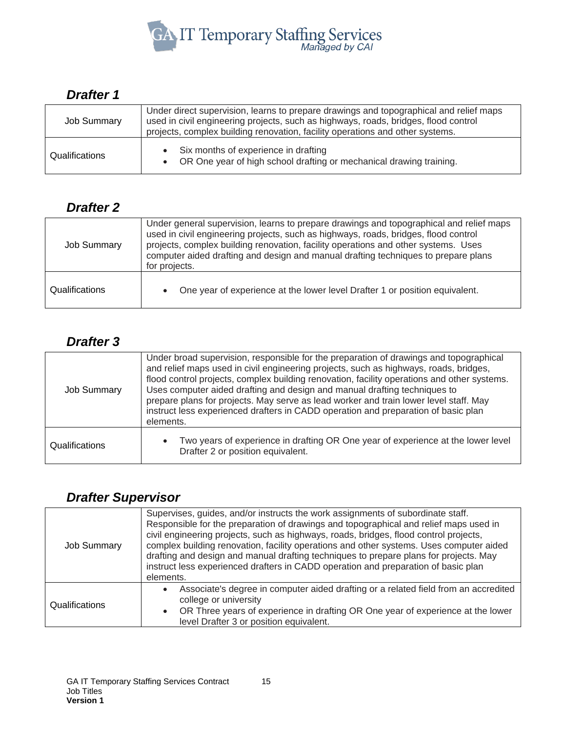

#### <span id="page-14-0"></span>*Drafter 1*

| <b>Job Summary</b>    | Under direct supervision, learns to prepare drawings and topographical and relief maps<br>used in civil engineering projects, such as highways, roads, bridges, flood control<br>projects, complex building renovation, facility operations and other systems. |
|-----------------------|----------------------------------------------------------------------------------------------------------------------------------------------------------------------------------------------------------------------------------------------------------------|
| <b>Qualifications</b> | • Six months of experience in drafting<br>• OR One year of high school drafting or mechanical drawing training.                                                                                                                                                |

#### <span id="page-14-1"></span>*Drafter 2*

| Job Summary    | Under general supervision, learns to prepare drawings and topographical and relief maps<br>used in civil engineering projects, such as highways, roads, bridges, flood control<br>projects, complex building renovation, facility operations and other systems. Uses<br>computer aided drafting and design and manual drafting techniques to prepare plans<br>for projects. |
|----------------|-----------------------------------------------------------------------------------------------------------------------------------------------------------------------------------------------------------------------------------------------------------------------------------------------------------------------------------------------------------------------------|
| Qualifications | One year of experience at the lower level Drafter 1 or position equivalent.                                                                                                                                                                                                                                                                                                 |

#### <span id="page-14-2"></span>*Drafter 3*

| <b>Job Summary</b> | Under broad supervision, responsible for the preparation of drawings and topographical<br>and relief maps used in civil engineering projects, such as highways, roads, bridges,<br>flood control projects, complex building renovation, facility operations and other systems.<br>Uses computer aided drafting and design and manual drafting techniques to<br>prepare plans for projects. May serve as lead worker and train lower level staff. May<br>instruct less experienced drafters in CADD operation and preparation of basic plan<br>elements. |
|--------------------|---------------------------------------------------------------------------------------------------------------------------------------------------------------------------------------------------------------------------------------------------------------------------------------------------------------------------------------------------------------------------------------------------------------------------------------------------------------------------------------------------------------------------------------------------------|
| Qualifications     | Two years of experience in drafting OR One year of experience at the lower level<br>Drafter 2 or position equivalent.                                                                                                                                                                                                                                                                                                                                                                                                                                   |

#### <span id="page-14-3"></span>*Drafter Supervisor*

| <b>Job Summary</b> | Supervises, guides, and/or instructs the work assignments of subordinate staff.<br>Responsible for the preparation of drawings and topographical and relief maps used in<br>civil engineering projects, such as highways, roads, bridges, flood control projects,<br>complex building renovation, facility operations and other systems. Uses computer aided<br>drafting and design and manual drafting techniques to prepare plans for projects. May<br>instruct less experienced drafters in CADD operation and preparation of basic plan<br>elements. |
|--------------------|----------------------------------------------------------------------------------------------------------------------------------------------------------------------------------------------------------------------------------------------------------------------------------------------------------------------------------------------------------------------------------------------------------------------------------------------------------------------------------------------------------------------------------------------------------|
| Qualifications     | Associate's degree in computer aided drafting or a related field from an accredited<br>college or university<br>OR Three years of experience in drafting OR One year of experience at the lower<br>level Drafter 3 or position equivalent.                                                                                                                                                                                                                                                                                                               |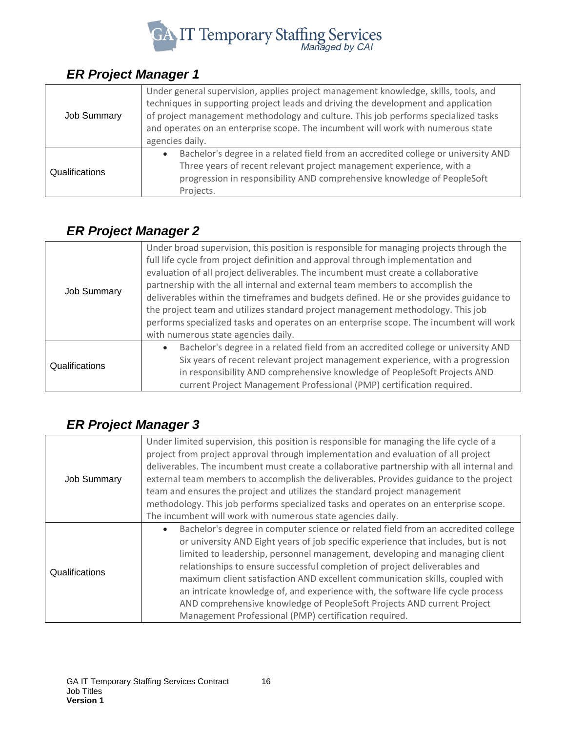

## <span id="page-15-0"></span>*ER Project Manager 1*

| Job Summary    | Under general supervision, applies project management knowledge, skills, tools, and<br>techniques in supporting project leads and driving the development and application<br>of project management methodology and culture. This job performs specialized tasks<br>and operates on an enterprise scope. The incumbent will work with numerous state<br>agencies daily. |
|----------------|------------------------------------------------------------------------------------------------------------------------------------------------------------------------------------------------------------------------------------------------------------------------------------------------------------------------------------------------------------------------|
| Qualifications | Bachelor's degree in a related field from an accredited college or university AND<br>Three years of recent relevant project management experience, with a<br>progression in responsibility AND comprehensive knowledge of PeopleSoft<br>Projects.                                                                                                                      |

## <span id="page-15-1"></span>*ER Project Manager 2*

| <b>Job Summary</b> | Under broad supervision, this position is responsible for managing projects through the<br>full life cycle from project definition and approval through implementation and<br>evaluation of all project deliverables. The incumbent must create a collaborative<br>partnership with the all internal and external team members to accomplish the<br>deliverables within the timeframes and budgets defined. He or she provides guidance to<br>the project team and utilizes standard project management methodology. This job<br>performs specialized tasks and operates on an enterprise scope. The incumbent will work<br>with numerous state agencies daily. |
|--------------------|-----------------------------------------------------------------------------------------------------------------------------------------------------------------------------------------------------------------------------------------------------------------------------------------------------------------------------------------------------------------------------------------------------------------------------------------------------------------------------------------------------------------------------------------------------------------------------------------------------------------------------------------------------------------|
| Qualifications     | Bachelor's degree in a related field from an accredited college or university AND<br>$\bullet$<br>Six years of recent relevant project management experience, with a progression<br>in responsibility AND comprehensive knowledge of PeopleSoft Projects AND<br>current Project Management Professional (PMP) certification required.                                                                                                                                                                                                                                                                                                                           |

## <span id="page-15-2"></span>*ER Project Manager 3*

|                    | Under limited supervision, this position is responsible for managing the life cycle of a  |
|--------------------|-------------------------------------------------------------------------------------------|
|                    | project from project approval through implementation and evaluation of all project        |
|                    | deliverables. The incumbent must create a collaborative partnership with all internal and |
| <b>Job Summary</b> | external team members to accomplish the deliverables. Provides guidance to the project    |
|                    | team and ensures the project and utilizes the standard project management                 |
|                    | methodology. This job performs specialized tasks and operates on an enterprise scope.     |
|                    | The incumbent will work with numerous state agencies daily.                               |
|                    | Bachelor's degree in computer science or related field from an accredited college         |
|                    | or university AND Eight years of job specific experience that includes, but is not        |
|                    | limited to leadership, personnel management, developing and managing client               |
| Qualifications     | relationships to ensure successful completion of project deliverables and                 |
|                    | maximum client satisfaction AND excellent communication skills, coupled with              |
|                    | an intricate knowledge of, and experience with, the software life cycle process           |
|                    | AND comprehensive knowledge of PeopleSoft Projects AND current Project                    |
|                    | Management Professional (PMP) certification required.                                     |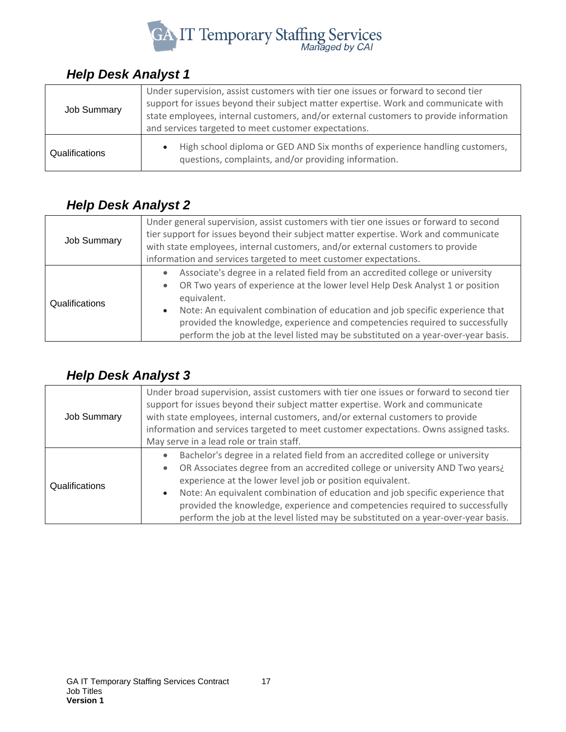

#### <span id="page-16-0"></span>*Help Desk Analyst 1*

| <b>Job Summary</b> | Under supervision, assist customers with tier one issues or forward to second tier<br>support for issues beyond their subject matter expertise. Work and communicate with<br>state employees, internal customers, and/or external customers to provide information<br>and services targeted to meet customer expectations. |
|--------------------|----------------------------------------------------------------------------------------------------------------------------------------------------------------------------------------------------------------------------------------------------------------------------------------------------------------------------|
| Qualifications     | High school diploma or GED AND Six months of experience handling customers,<br>questions, complaints, and/or providing information.                                                                                                                                                                                        |

#### <span id="page-16-1"></span>*Help Desk Analyst 2*

| <b>Job Summary</b> | Under general supervision, assist customers with tier one issues or forward to second<br>tier support for issues beyond their subject matter expertise. Work and communicate<br>with state employees, internal customers, and/or external customers to provide<br>information and services targeted to meet customer expectations.                                                                                                                |
|--------------------|---------------------------------------------------------------------------------------------------------------------------------------------------------------------------------------------------------------------------------------------------------------------------------------------------------------------------------------------------------------------------------------------------------------------------------------------------|
| Qualifications     | Associate's degree in a related field from an accredited college or university<br>OR Two years of experience at the lower level Help Desk Analyst 1 or position<br>equivalent.<br>Note: An equivalent combination of education and job specific experience that<br>$\bullet$<br>provided the knowledge, experience and competencies required to successfully<br>perform the job at the level listed may be substituted on a year-over-year basis. |

## <span id="page-16-2"></span>*Help Desk Analyst 3*

| Job Summary    | Under broad supervision, assist customers with tier one issues or forward to second tier<br>support for issues beyond their subject matter expertise. Work and communicate<br>with state employees, internal customers, and/or external customers to provide<br>information and services targeted to meet customer expectations. Owns assigned tasks.<br>May serve in a lead role or train staff.                                                                                                                       |
|----------------|-------------------------------------------------------------------------------------------------------------------------------------------------------------------------------------------------------------------------------------------------------------------------------------------------------------------------------------------------------------------------------------------------------------------------------------------------------------------------------------------------------------------------|
| Qualifications | Bachelor's degree in a related field from an accredited college or university<br>$\bullet$<br>OR Associates degree from an accredited college or university AND Two years¿<br>$\bullet$<br>experience at the lower level job or position equivalent.<br>Note: An equivalent combination of education and job specific experience that<br>$\bullet$<br>provided the knowledge, experience and competencies required to successfully<br>perform the job at the level listed may be substituted on a year-over-year basis. |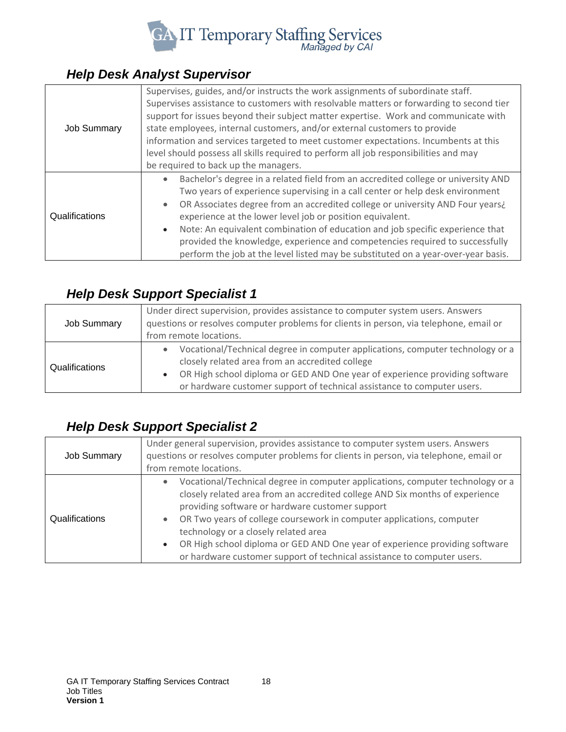

#### <span id="page-17-0"></span>*Help Desk Analyst Supervisor*

| <b>Job Summary</b> | Supervises, guides, and/or instructs the work assignments of subordinate staff.<br>Supervises assistance to customers with resolvable matters or forwarding to second tier<br>support for issues beyond their subject matter expertise. Work and communicate with<br>state employees, internal customers, and/or external customers to provide<br>information and services targeted to meet customer expectations. Incumbents at this<br>level should possess all skills required to perform all job responsibilities and may                                                       |
|--------------------|-------------------------------------------------------------------------------------------------------------------------------------------------------------------------------------------------------------------------------------------------------------------------------------------------------------------------------------------------------------------------------------------------------------------------------------------------------------------------------------------------------------------------------------------------------------------------------------|
|                    | be required to back up the managers.                                                                                                                                                                                                                                                                                                                                                                                                                                                                                                                                                |
| Qualifications     | Bachelor's degree in a related field from an accredited college or university AND<br>Two years of experience supervising in a call center or help desk environment<br>OR Associates degree from an accredited college or university AND Four years¿<br>experience at the lower level job or position equivalent.<br>Note: An equivalent combination of education and job specific experience that<br>$\bullet$<br>provided the knowledge, experience and competencies required to successfully<br>perform the job at the level listed may be substituted on a year-over-year basis. |

#### <span id="page-17-1"></span>*Help Desk Support Specialist 1*

| <b>Job Summary</b> | Under direct supervision, provides assistance to computer system users. Answers<br>questions or resolves computer problems for clients in person, via telephone, email or<br>from remote locations.                                                                                         |
|--------------------|---------------------------------------------------------------------------------------------------------------------------------------------------------------------------------------------------------------------------------------------------------------------------------------------|
| Qualifications     | Vocational/Technical degree in computer applications, computer technology or a<br>closely related area from an accredited college<br>OR High school diploma or GED AND One year of experience providing software<br>or hardware customer support of technical assistance to computer users. |

## <span id="page-17-2"></span>*Help Desk Support Specialist 2*

| <b>Job Summary</b> | Under general supervision, provides assistance to computer system users. Answers<br>questions or resolves computer problems for clients in person, via telephone, email or<br>from remote locations.                                                                                                                                                                                                                                                                                         |
|--------------------|----------------------------------------------------------------------------------------------------------------------------------------------------------------------------------------------------------------------------------------------------------------------------------------------------------------------------------------------------------------------------------------------------------------------------------------------------------------------------------------------|
| Qualifications     | Vocational/Technical degree in computer applications, computer technology or a<br>closely related area from an accredited college AND Six months of experience<br>providing software or hardware customer support<br>OR Two years of college coursework in computer applications, computer<br>technology or a closely related area<br>OR High school diploma or GED AND One year of experience providing software<br>or hardware customer support of technical assistance to computer users. |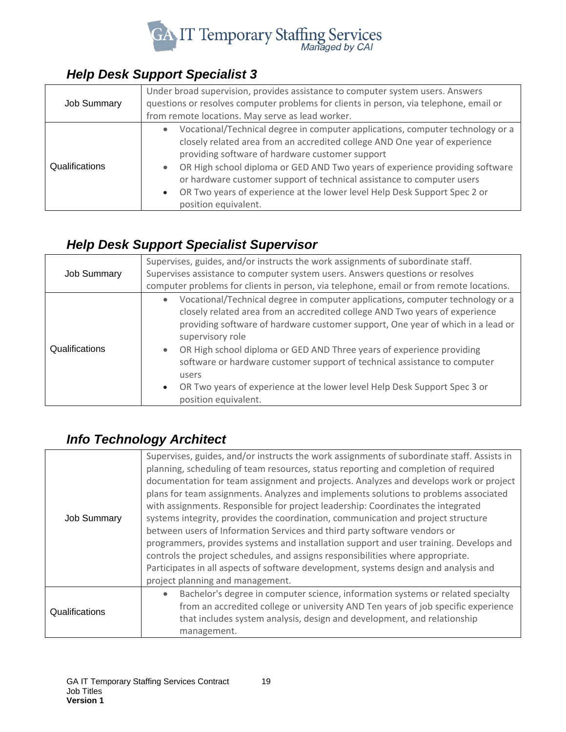

## <span id="page-18-0"></span>*Help Desk Support Specialist 3*

| <b>Job Summary</b> | Under broad supervision, provides assistance to computer system users. Answers<br>questions or resolves computer problems for clients in person, via telephone, email or<br>from remote locations. May serve as lead worker.                                                                                                                                                                                                                                                   |
|--------------------|--------------------------------------------------------------------------------------------------------------------------------------------------------------------------------------------------------------------------------------------------------------------------------------------------------------------------------------------------------------------------------------------------------------------------------------------------------------------------------|
| Qualifications     | Vocational/Technical degree in computer applications, computer technology or a<br>closely related area from an accredited college AND One year of experience<br>providing software of hardware customer support<br>OR High school diploma or GED AND Two years of experience providing software<br>or hardware customer support of technical assistance to computer users<br>OR Two years of experience at the lower level Help Desk Support Spec 2 or<br>position equivalent. |

## <span id="page-18-1"></span>*Help Desk Support Specialist Supervisor*

|                    | Supervises, guides, and/or instructs the work assignments of subordinate staff.                                                                                                                                                                                                                                                                                                                                                                                                                                                                       |
|--------------------|-------------------------------------------------------------------------------------------------------------------------------------------------------------------------------------------------------------------------------------------------------------------------------------------------------------------------------------------------------------------------------------------------------------------------------------------------------------------------------------------------------------------------------------------------------|
| <b>Job Summary</b> | Supervises assistance to computer system users. Answers questions or resolves                                                                                                                                                                                                                                                                                                                                                                                                                                                                         |
|                    | computer problems for clients in person, via telephone, email or from remote locations.                                                                                                                                                                                                                                                                                                                                                                                                                                                               |
| Qualifications     | Vocational/Technical degree in computer applications, computer technology or a<br>closely related area from an accredited college AND Two years of experience<br>providing software of hardware customer support, One year of which in a lead or<br>supervisory role<br>OR High school diploma or GED AND Three years of experience providing<br>software or hardware customer support of technical assistance to computer<br>users<br>OR Two years of experience at the lower level Help Desk Support Spec 3 or<br>$\bullet$<br>position equivalent. |

## <span id="page-18-2"></span>*Info Technology Architect*

| <b>Job Summary</b> | Supervises, guides, and/or instructs the work assignments of subordinate staff. Assists in<br>planning, scheduling of team resources, status reporting and completion of required<br>documentation for team assignment and projects. Analyzes and develops work or project<br>plans for team assignments. Analyzes and implements solutions to problems associated<br>with assignments. Responsible for project leadership: Coordinates the integrated<br>systems integrity, provides the coordination, communication and project structure<br>between users of Information Services and third party software vendors or<br>programmers, provides systems and installation support and user training. Develops and<br>controls the project schedules, and assigns responsibilities where appropriate.<br>Participates in all aspects of software development, systems design and analysis and<br>project planning and management. |
|--------------------|-----------------------------------------------------------------------------------------------------------------------------------------------------------------------------------------------------------------------------------------------------------------------------------------------------------------------------------------------------------------------------------------------------------------------------------------------------------------------------------------------------------------------------------------------------------------------------------------------------------------------------------------------------------------------------------------------------------------------------------------------------------------------------------------------------------------------------------------------------------------------------------------------------------------------------------|
| Qualifications     | Bachelor's degree in computer science, information systems or related specialty<br>from an accredited college or university AND Ten years of job specific experience<br>that includes system analysis, design and development, and relationship<br>management.                                                                                                                                                                                                                                                                                                                                                                                                                                                                                                                                                                                                                                                                    |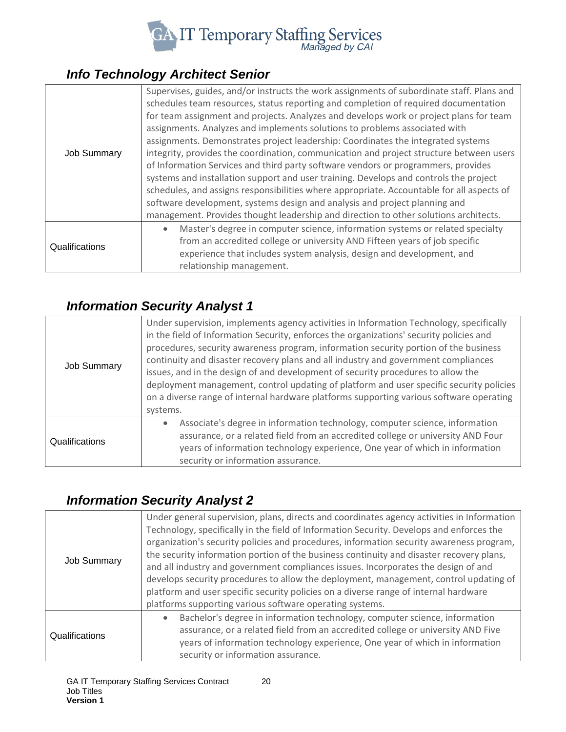

## <span id="page-19-0"></span>*Info Technology Architect Senior*

| <b>Job Summary</b> | Supervises, guides, and/or instructs the work assignments of subordinate staff. Plans and<br>schedules team resources, status reporting and completion of required documentation<br>for team assignment and projects. Analyzes and develops work or project plans for team |
|--------------------|----------------------------------------------------------------------------------------------------------------------------------------------------------------------------------------------------------------------------------------------------------------------------|
|                    | assignments. Analyzes and implements solutions to problems associated with                                                                                                                                                                                                 |
|                    | assignments. Demonstrates project leadership: Coordinates the integrated systems                                                                                                                                                                                           |
|                    | integrity, provides the coordination, communication and project structure between users                                                                                                                                                                                    |
|                    | of Information Services and third party software vendors or programmers, provides                                                                                                                                                                                          |
|                    | systems and installation support and user training. Develops and controls the project                                                                                                                                                                                      |
|                    | schedules, and assigns responsibilities where appropriate. Accountable for all aspects of                                                                                                                                                                                  |
|                    | software development, systems design and analysis and project planning and                                                                                                                                                                                                 |
|                    | management. Provides thought leadership and direction to other solutions architects.                                                                                                                                                                                       |
| Qualifications     | Master's degree in computer science, information systems or related specialty                                                                                                                                                                                              |
|                    | from an accredited college or university AND Fifteen years of job specific                                                                                                                                                                                                 |
|                    | experience that includes system analysis, design and development, and                                                                                                                                                                                                      |
|                    | relationship management.                                                                                                                                                                                                                                                   |

## <span id="page-19-1"></span>*Information Security Analyst 1*

| <b>Job Summary</b> | Under supervision, implements agency activities in Information Technology, specifically<br>in the field of Information Security, enforces the organizations' security policies and<br>procedures, security awareness program, information security portion of the business<br>continuity and disaster recovery plans and all industry and government compliances<br>issues, and in the design of and development of security procedures to allow the<br>deployment management, control updating of platform and user specific security policies<br>on a diverse range of internal hardware platforms supporting various software operating<br>systems. |
|--------------------|--------------------------------------------------------------------------------------------------------------------------------------------------------------------------------------------------------------------------------------------------------------------------------------------------------------------------------------------------------------------------------------------------------------------------------------------------------------------------------------------------------------------------------------------------------------------------------------------------------------------------------------------------------|
| Qualifications     | Associate's degree in information technology, computer science, information<br>assurance, or a related field from an accredited college or university AND Four<br>years of information technology experience, One year of which in information<br>security or information assurance.                                                                                                                                                                                                                                                                                                                                                                   |

## <span id="page-19-2"></span>*Information Security Analyst 2*

| <b>Job Summary</b> | Under general supervision, plans, directs and coordinates agency activities in Information<br>Technology, specifically in the field of Information Security. Develops and enforces the<br>organization's security policies and procedures, information security awareness program,<br>the security information portion of the business continuity and disaster recovery plans,<br>and all industry and government compliances issues. Incorporates the design of and<br>develops security procedures to allow the deployment, management, control updating of<br>platform and user specific security policies on a diverse range of internal hardware<br>platforms supporting various software operating systems. |
|--------------------|-------------------------------------------------------------------------------------------------------------------------------------------------------------------------------------------------------------------------------------------------------------------------------------------------------------------------------------------------------------------------------------------------------------------------------------------------------------------------------------------------------------------------------------------------------------------------------------------------------------------------------------------------------------------------------------------------------------------|
| Qualifications     | Bachelor's degree in information technology, computer science, information<br>assurance, or a related field from an accredited college or university AND Five<br>years of information technology experience, One year of which in information<br>security or information assurance.                                                                                                                                                                                                                                                                                                                                                                                                                               |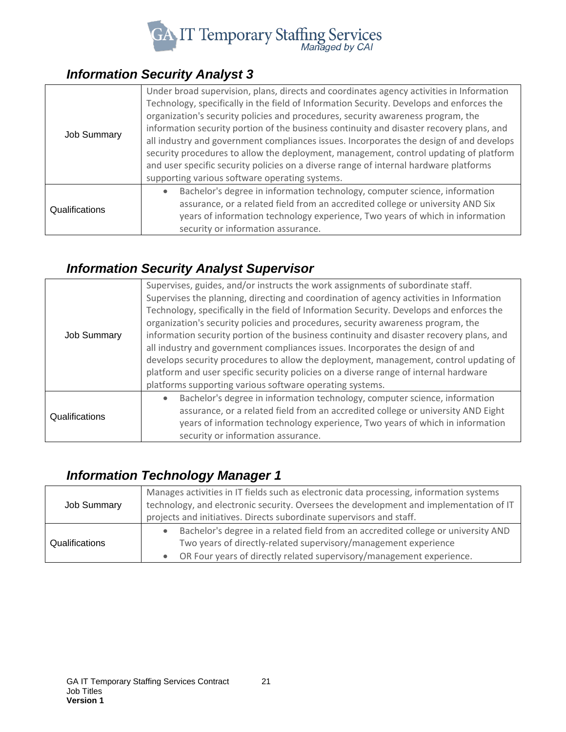

## <span id="page-20-0"></span>*Information Security Analyst 3*

| <b>Job Summary</b> | Under broad supervision, plans, directs and coordinates agency activities in Information<br>Technology, specifically in the field of Information Security. Develops and enforces the<br>organization's security policies and procedures, security awareness program, the<br>information security portion of the business continuity and disaster recovery plans, and<br>all industry and government compliances issues. Incorporates the design of and develops<br>security procedures to allow the deployment, management, control updating of platform<br>and user specific security policies on a diverse range of internal hardware platforms |
|--------------------|---------------------------------------------------------------------------------------------------------------------------------------------------------------------------------------------------------------------------------------------------------------------------------------------------------------------------------------------------------------------------------------------------------------------------------------------------------------------------------------------------------------------------------------------------------------------------------------------------------------------------------------------------|
|                    | supporting various software operating systems.                                                                                                                                                                                                                                                                                                                                                                                                                                                                                                                                                                                                    |
| Qualifications     | Bachelor's degree in information technology, computer science, information<br>assurance, or a related field from an accredited college or university AND Six<br>years of information technology experience, Two years of which in information<br>security or information assurance.                                                                                                                                                                                                                                                                                                                                                               |

## <span id="page-20-1"></span>*Information Security Analyst Supervisor*

| <b>Job Summary</b> | Supervises, guides, and/or instructs the work assignments of subordinate staff.<br>Supervises the planning, directing and coordination of agency activities in Information<br>Technology, specifically in the field of Information Security. Develops and enforces the<br>organization's security policies and procedures, security awareness program, the<br>information security portion of the business continuity and disaster recovery plans, and<br>all industry and government compliances issues. Incorporates the design of and<br>develops security procedures to allow the deployment, management, control updating of<br>platform and user specific security policies on a diverse range of internal hardware<br>platforms supporting various software operating systems. |
|--------------------|---------------------------------------------------------------------------------------------------------------------------------------------------------------------------------------------------------------------------------------------------------------------------------------------------------------------------------------------------------------------------------------------------------------------------------------------------------------------------------------------------------------------------------------------------------------------------------------------------------------------------------------------------------------------------------------------------------------------------------------------------------------------------------------|
| Qualifications     | Bachelor's degree in information technology, computer science, information<br>assurance, or a related field from an accredited college or university AND Eight<br>years of information technology experience, Two years of which in information<br>security or information assurance.                                                                                                                                                                                                                                                                                                                                                                                                                                                                                                 |

#### <span id="page-20-2"></span>*Information Technology Manager 1*

| <b>Job Summary</b> | Manages activities in IT fields such as electronic data processing, information systems<br>technology, and electronic security. Oversees the development and implementation of IT<br>projects and initiatives. Directs subordinate supervisors and staff. |
|--------------------|-----------------------------------------------------------------------------------------------------------------------------------------------------------------------------------------------------------------------------------------------------------|
| Qualifications     | Bachelor's degree in a related field from an accredited college or university AND<br>Two years of directly-related supervisory/management experience<br>OR Four years of directly related supervisory/management experience.                              |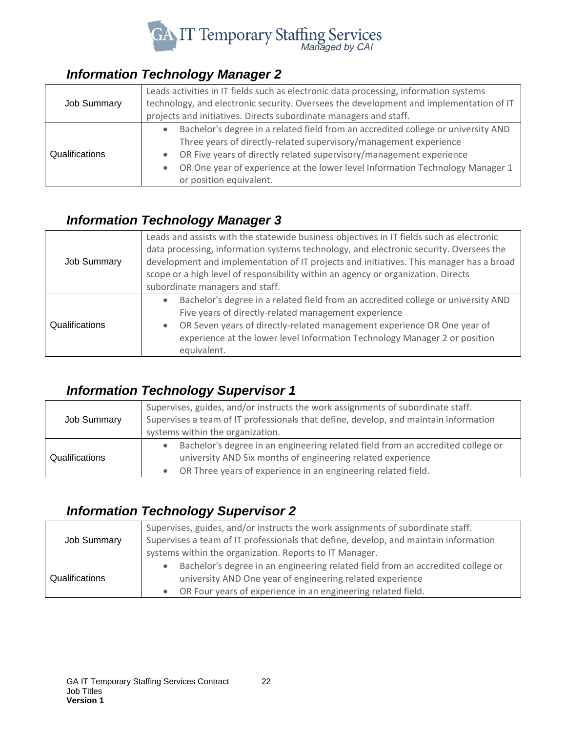

## <span id="page-21-0"></span>*Information Technology Manager 2*

| <b>Job Summary</b> | Leads activities in IT fields such as electronic data processing, information systems<br>technology, and electronic security. Oversees the development and implementation of IT<br>projects and initiatives. Directs subordinate managers and staff.                                                                                      |
|--------------------|-------------------------------------------------------------------------------------------------------------------------------------------------------------------------------------------------------------------------------------------------------------------------------------------------------------------------------------------|
| Qualifications     | Bachelor's degree in a related field from an accredited college or university AND<br>Three years of directly-related supervisory/management experience<br>OR Five years of directly related supervisory/management experience<br>OR One year of experience at the lower level Information Technology Manager 1<br>or position equivalent. |

#### <span id="page-21-1"></span>*Information Technology Manager 3*

| Job Summary    | Leads and assists with the statewide business objectives in IT fields such as electronic<br>data processing, information systems technology, and electronic security. Oversees the<br>development and implementation of IT projects and initiatives. This manager has a broad<br>scope or a high level of responsibility within an agency or organization. Directs<br>subordinate managers and staff. |
|----------------|-------------------------------------------------------------------------------------------------------------------------------------------------------------------------------------------------------------------------------------------------------------------------------------------------------------------------------------------------------------------------------------------------------|
| Qualifications | Bachelor's degree in a related field from an accredited college or university AND<br>$\bullet$<br>Five years of directly-related management experience<br>OR Seven years of directly-related management experience OR One year of<br>$\bullet$<br>experience at the lower level Information Technology Manager 2 or position<br>equivalent.                                                           |

#### <span id="page-21-2"></span>*Information Technology Supervisor 1*

| Job Summary    | Supervises, guides, and/or instructs the work assignments of subordinate staff.<br>Supervises a team of IT professionals that define, develop, and maintain information<br>systems within the organization.     |
|----------------|-----------------------------------------------------------------------------------------------------------------------------------------------------------------------------------------------------------------|
| Qualifications | Bachelor's degree in an engineering related field from an accredited college or<br>university AND Six months of engineering related experience<br>OR Three years of experience in an engineering related field. |

## <span id="page-21-3"></span>*Information Technology Supervisor 2*

| Job Summary    | Supervises, guides, and/or instructs the work assignments of subordinate staff.<br>Supervises a team of IT professionals that define, develop, and maintain information |
|----------------|-------------------------------------------------------------------------------------------------------------------------------------------------------------------------|
|                | systems within the organization. Reports to IT Manager.                                                                                                                 |
| Qualifications | Bachelor's degree in an engineering related field from an accredited college or<br>university AND One year of engineering related experience                            |
|                | OR Four years of experience in an engineering related field.                                                                                                            |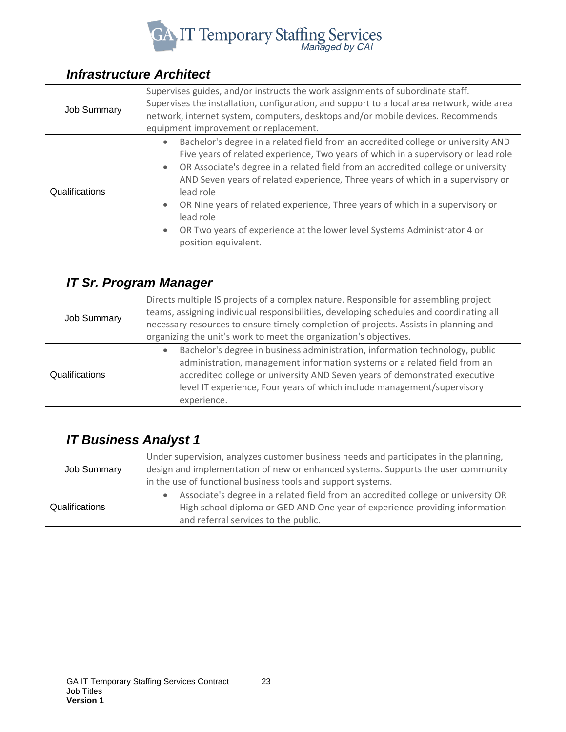

## <span id="page-22-0"></span>*Infrastructure Architect*

| <b>Job Summary</b> | Supervises guides, and/or instructs the work assignments of subordinate staff.<br>Supervises the installation, configuration, and support to a local area network, wide area<br>network, internet system, computers, desktops and/or mobile devices. Recommends<br>equipment improvement or replacement.                                                                                                                                                                                                                                                                    |
|--------------------|-----------------------------------------------------------------------------------------------------------------------------------------------------------------------------------------------------------------------------------------------------------------------------------------------------------------------------------------------------------------------------------------------------------------------------------------------------------------------------------------------------------------------------------------------------------------------------|
| Qualifications     | Bachelor's degree in a related field from an accredited college or university AND<br>$\bullet$<br>Five years of related experience, Two years of which in a supervisory or lead role<br>OR Associate's degree in a related field from an accredited college or university<br>AND Seven years of related experience, Three years of which in a supervisory or<br>lead role<br>OR Nine years of related experience, Three years of which in a supervisory or<br>lead role<br>OR Two years of experience at the lower level Systems Administrator 4 or<br>position equivalent. |

## <span id="page-22-1"></span>*IT Sr. Program Manager*

| <b>Job Summary</b> | Directs multiple IS projects of a complex nature. Responsible for assembling project<br>teams, assigning individual responsibilities, developing schedules and coordinating all<br>necessary resources to ensure timely completion of projects. Assists in planning and<br>organizing the unit's work to meet the organization's objectives. |
|--------------------|----------------------------------------------------------------------------------------------------------------------------------------------------------------------------------------------------------------------------------------------------------------------------------------------------------------------------------------------|
| Qualifications     | Bachelor's degree in business administration, information technology, public<br>administration, management information systems or a related field from an<br>accredited college or university AND Seven years of demonstrated executive<br>level IT experience, Four years of which include management/supervisory<br>experience.            |

## <span id="page-22-2"></span>*IT Business Analyst 1*

| <b>Job Summary</b> | Under supervision, analyzes customer business needs and participates in the planning,<br>design and implementation of new or enhanced systems. Supports the user community<br>in the use of functional business tools and support systems. |
|--------------------|--------------------------------------------------------------------------------------------------------------------------------------------------------------------------------------------------------------------------------------------|
| Qualifications     | Associate's degree in a related field from an accredited college or university OR<br>High school diploma or GED AND One year of experience providing information<br>and referral services to the public.                                   |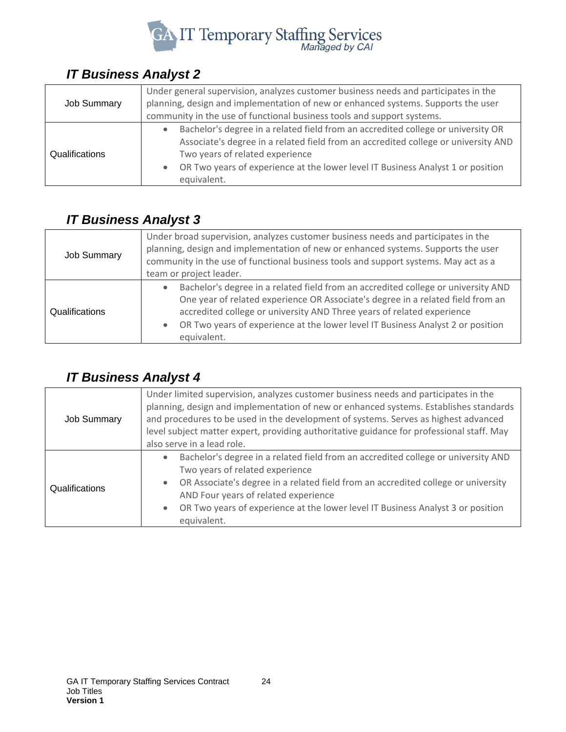

## <span id="page-23-0"></span>*IT Business Analyst 2*

| <b>Job Summary</b> | Under general supervision, analyzes customer business needs and participates in the<br>planning, design and implementation of new or enhanced systems. Supports the user<br>community in the use of functional business tools and support systems.                                                          |
|--------------------|-------------------------------------------------------------------------------------------------------------------------------------------------------------------------------------------------------------------------------------------------------------------------------------------------------------|
| Qualifications     | Bachelor's degree in a related field from an accredited college or university OR<br>Associate's degree in a related field from an accredited college or university AND<br>Two years of related experience<br>OR Two years of experience at the lower level IT Business Analyst 1 or position<br>equivalent. |

## <span id="page-23-1"></span>*IT Business Analyst 3*

| <b>Job Summary</b> | Under broad supervision, analyzes customer business needs and participates in the<br>planning, design and implementation of new or enhanced systems. Supports the user<br>community in the use of functional business tools and support systems. May act as a<br>team or project leader.                                                                                   |
|--------------------|----------------------------------------------------------------------------------------------------------------------------------------------------------------------------------------------------------------------------------------------------------------------------------------------------------------------------------------------------------------------------|
| Qualifications     | Bachelor's degree in a related field from an accredited college or university AND<br>$\bullet$<br>One year of related experience OR Associate's degree in a related field from an<br>accredited college or university AND Three years of related experience<br>OR Two years of experience at the lower level IT Business Analyst 2 or position<br>$\bullet$<br>equivalent. |

## <span id="page-23-2"></span>*IT Business Analyst 4*

| Job Summary    | Under limited supervision, analyzes customer business needs and participates in the<br>planning, design and implementation of new or enhanced systems. Establishes standards<br>and procedures to be used in the development of systems. Serves as highest advanced<br>level subject matter expert, providing authoritative guidance for professional staff. May<br>also serve in a lead role. |
|----------------|------------------------------------------------------------------------------------------------------------------------------------------------------------------------------------------------------------------------------------------------------------------------------------------------------------------------------------------------------------------------------------------------|
| Qualifications | Bachelor's degree in a related field from an accredited college or university AND<br>$\bullet$<br>Two years of related experience<br>OR Associate's degree in a related field from an accredited college or university<br>$\bullet$<br>AND Four years of related experience<br>OR Two years of experience at the lower level IT Business Analyst 3 or position<br>$\bullet$<br>equivalent.     |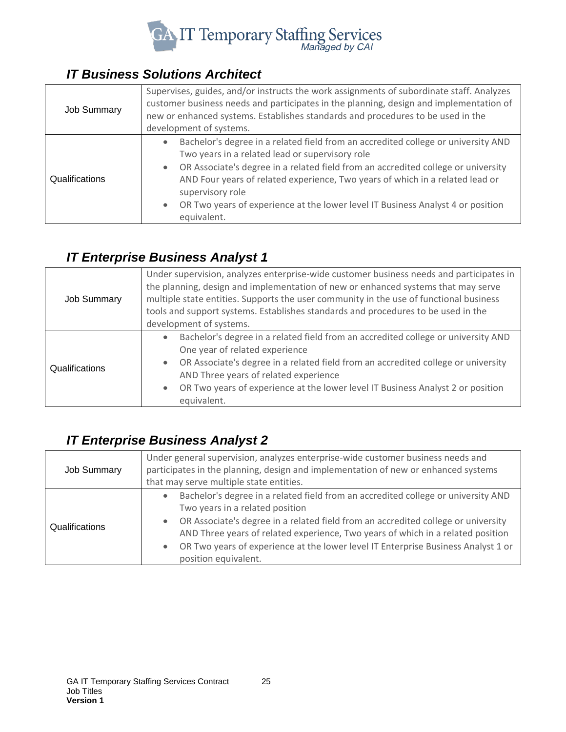

## <span id="page-24-0"></span>*IT Business Solutions Architect*

| <b>Job Summary</b> | Supervises, guides, and/or instructs the work assignments of subordinate staff. Analyzes<br>customer business needs and participates in the planning, design and implementation of<br>new or enhanced systems. Establishes standards and procedures to be used in the<br>development of systems.                                                                                                                                                                        |
|--------------------|-------------------------------------------------------------------------------------------------------------------------------------------------------------------------------------------------------------------------------------------------------------------------------------------------------------------------------------------------------------------------------------------------------------------------------------------------------------------------|
| Qualifications     | Bachelor's degree in a related field from an accredited college or university AND<br>$\bullet$<br>Two years in a related lead or supervisory role<br>OR Associate's degree in a related field from an accredited college or university<br>$\bullet$<br>AND Four years of related experience, Two years of which in a related lead or<br>supervisory role<br>OR Two years of experience at the lower level IT Business Analyst 4 or position<br>$\bullet$<br>equivalent. |

#### <span id="page-24-1"></span>*IT Enterprise Business Analyst 1*

| <b>Job Summary</b> | Under supervision, analyzes enterprise-wide customer business needs and participates in<br>the planning, design and implementation of new or enhanced systems that may serve<br>multiple state entities. Supports the user community in the use of functional business<br>tools and support systems. Establishes standards and procedures to be used in the<br>development of systems. |
|--------------------|----------------------------------------------------------------------------------------------------------------------------------------------------------------------------------------------------------------------------------------------------------------------------------------------------------------------------------------------------------------------------------------|
| Qualifications     | Bachelor's degree in a related field from an accredited college or university AND<br>One year of related experience<br>OR Associate's degree in a related field from an accredited college or university<br>AND Three years of related experience<br>OR Two years of experience at the lower level IT Business Analyst 2 or position<br>$\bullet$<br>equivalent.                       |

## <span id="page-24-2"></span>*IT Enterprise Business Analyst 2*

| <b>Job Summary</b> | Under general supervision, analyzes enterprise-wide customer business needs and<br>participates in the planning, design and implementation of new or enhanced systems<br>that may serve multiple state entities.                                                                                                                                                                                                       |
|--------------------|------------------------------------------------------------------------------------------------------------------------------------------------------------------------------------------------------------------------------------------------------------------------------------------------------------------------------------------------------------------------------------------------------------------------|
| Qualifications     | Bachelor's degree in a related field from an accredited college or university AND<br>Two years in a related position<br>OR Associate's degree in a related field from an accredited college or university<br>$\bullet$<br>AND Three years of related experience, Two years of which in a related position<br>OR Two years of experience at the lower level IT Enterprise Business Analyst 1 or<br>position equivalent. |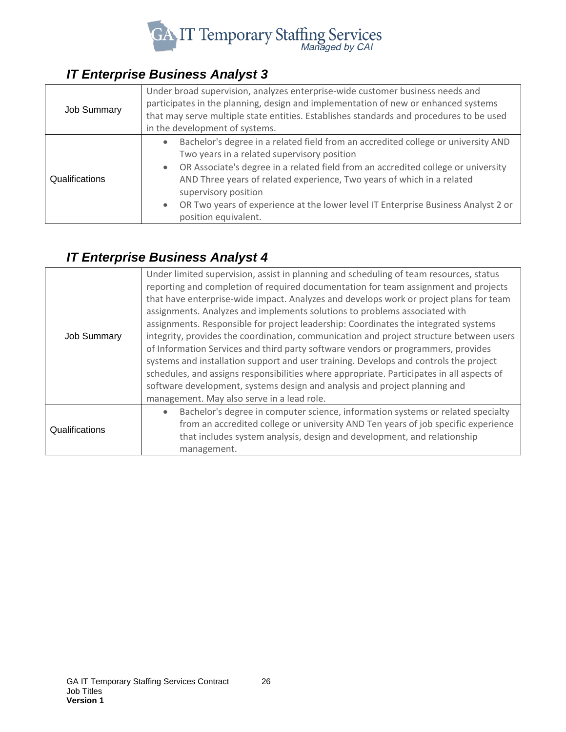

## <span id="page-25-0"></span>*IT Enterprise Business Analyst 3*

| <b>Job Summary</b> | Under broad supervision, analyzes enterprise-wide customer business needs and<br>participates in the planning, design and implementation of new or enhanced systems<br>that may serve multiple state entities. Establishes standards and procedures to be used<br>in the development of systems.                                                                                                                                                               |
|--------------------|----------------------------------------------------------------------------------------------------------------------------------------------------------------------------------------------------------------------------------------------------------------------------------------------------------------------------------------------------------------------------------------------------------------------------------------------------------------|
| Qualifications     | Bachelor's degree in a related field from an accredited college or university AND<br>$\bullet$<br>Two years in a related supervisory position<br>OR Associate's degree in a related field from an accredited college or university<br>AND Three years of related experience, Two years of which in a related<br>supervisory position<br>OR Two years of experience at the lower level IT Enterprise Business Analyst 2 or<br>$\bullet$<br>position equivalent. |

#### <span id="page-25-1"></span>*IT Enterprise Business Analyst 4*

| <b>Job Summary</b> | Under limited supervision, assist in planning and scheduling of team resources, status<br>reporting and completion of required documentation for team assignment and projects<br>that have enterprise-wide impact. Analyzes and develops work or project plans for team<br>assignments. Analyzes and implements solutions to problems associated with<br>assignments. Responsible for project leadership: Coordinates the integrated systems<br>integrity, provides the coordination, communication and project structure between users<br>of Information Services and third party software vendors or programmers, provides<br>systems and installation support and user training. Develops and controls the project<br>schedules, and assigns responsibilities where appropriate. Participates in all aspects of<br>software development, systems design and analysis and project planning and<br>management. May also serve in a lead role. |
|--------------------|------------------------------------------------------------------------------------------------------------------------------------------------------------------------------------------------------------------------------------------------------------------------------------------------------------------------------------------------------------------------------------------------------------------------------------------------------------------------------------------------------------------------------------------------------------------------------------------------------------------------------------------------------------------------------------------------------------------------------------------------------------------------------------------------------------------------------------------------------------------------------------------------------------------------------------------------|
| Qualifications     | Bachelor's degree in computer science, information systems or related specialty<br>from an accredited college or university AND Ten years of job specific experience<br>that includes system analysis, design and development, and relationship<br>management.                                                                                                                                                                                                                                                                                                                                                                                                                                                                                                                                                                                                                                                                                 |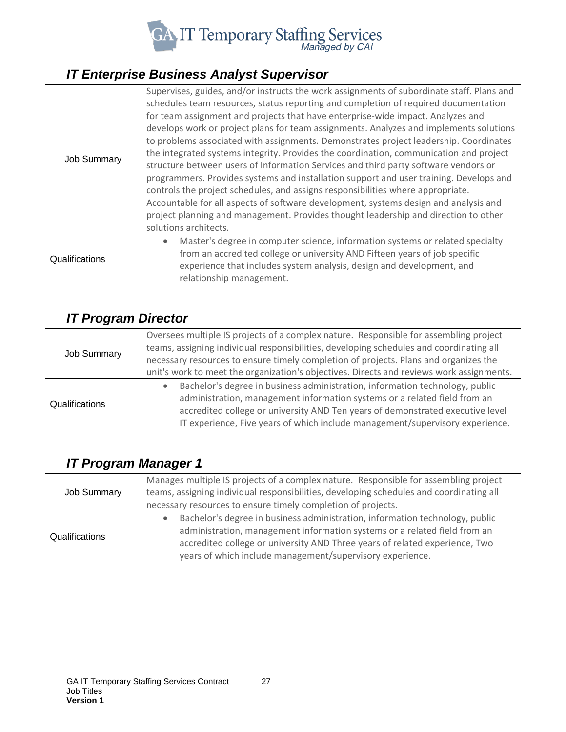

## <span id="page-26-0"></span>*IT Enterprise Business Analyst Supervisor*

| <b>Job Summary</b> | Supervises, guides, and/or instructs the work assignments of subordinate staff. Plans and<br>schedules team resources, status reporting and completion of required documentation<br>for team assignment and projects that have enterprise-wide impact. Analyzes and<br>develops work or project plans for team assignments. Analyzes and implements solutions<br>to problems associated with assignments. Demonstrates project leadership. Coordinates<br>the integrated systems integrity. Provides the coordination, communication and project<br>structure between users of Information Services and third party software vendors or<br>programmers. Provides systems and installation support and user training. Develops and<br>controls the project schedules, and assigns responsibilities where appropriate.<br>Accountable for all aspects of software development, systems design and analysis and<br>project planning and management. Provides thought leadership and direction to other<br>solutions architects. |
|--------------------|------------------------------------------------------------------------------------------------------------------------------------------------------------------------------------------------------------------------------------------------------------------------------------------------------------------------------------------------------------------------------------------------------------------------------------------------------------------------------------------------------------------------------------------------------------------------------------------------------------------------------------------------------------------------------------------------------------------------------------------------------------------------------------------------------------------------------------------------------------------------------------------------------------------------------------------------------------------------------------------------------------------------------|
| Qualifications     | Master's degree in computer science, information systems or related specialty<br>from an accredited college or university AND Fifteen years of job specific<br>experience that includes system analysis, design and development, and<br>relationship management.                                                                                                                                                                                                                                                                                                                                                                                                                                                                                                                                                                                                                                                                                                                                                             |

#### <span id="page-26-1"></span>*IT Program Director*

| <b>Job Summary</b> | Oversees multiple IS projects of a complex nature. Responsible for assembling project<br>teams, assigning individual responsibilities, developing schedules and coordinating all<br>necessary resources to ensure timely completion of projects. Plans and organizes the                                                     |
|--------------------|------------------------------------------------------------------------------------------------------------------------------------------------------------------------------------------------------------------------------------------------------------------------------------------------------------------------------|
|                    | unit's work to meet the organization's objectives. Directs and reviews work assignments.                                                                                                                                                                                                                                     |
| Qualifications     | Bachelor's degree in business administration, information technology, public<br>administration, management information systems or a related field from an<br>accredited college or university AND Ten years of demonstrated executive level<br>IT experience, Five years of which include management/supervisory experience. |

## <span id="page-26-2"></span>*IT Program Manager 1*

| <b>Job Summary</b> | Manages multiple IS projects of a complex nature. Responsible for assembling project<br>teams, assigning individual responsibilities, developing schedules and coordinating all<br>necessary resources to ensure timely completion of projects.                                                       |
|--------------------|-------------------------------------------------------------------------------------------------------------------------------------------------------------------------------------------------------------------------------------------------------------------------------------------------------|
| Qualifications     | Bachelor's degree in business administration, information technology, public<br>administration, management information systems or a related field from an<br>accredited college or university AND Three years of related experience, Two<br>years of which include management/supervisory experience. |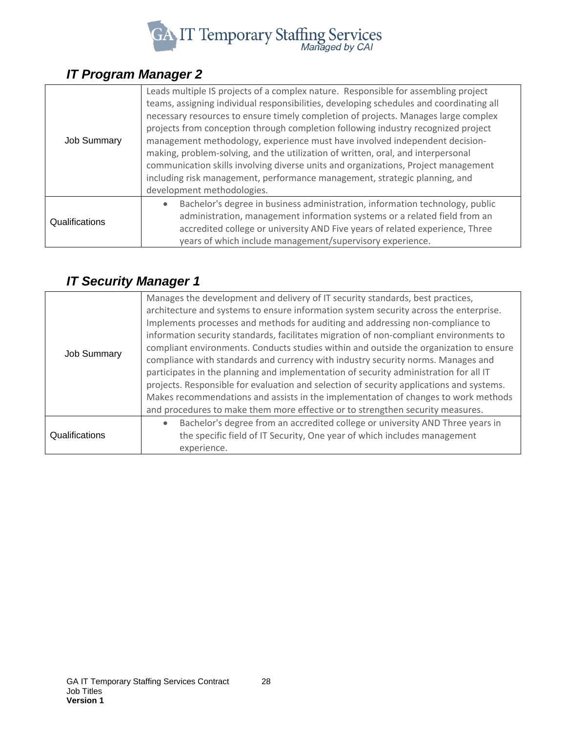

## <span id="page-27-0"></span>*IT Program Manager 2*

| <b>Job Summary</b> | Leads multiple IS projects of a complex nature. Responsible for assembling project<br>teams, assigning individual responsibilities, developing schedules and coordinating all<br>necessary resources to ensure timely completion of projects. Manages large complex<br>projects from conception through completion following industry recognized project<br>management methodology, experience must have involved independent decision-<br>making, problem-solving, and the utilization of written, oral, and interpersonal<br>communication skills involving diverse units and organizations, Project management<br>including risk management, performance management, strategic planning, and<br>development methodologies. |
|--------------------|-------------------------------------------------------------------------------------------------------------------------------------------------------------------------------------------------------------------------------------------------------------------------------------------------------------------------------------------------------------------------------------------------------------------------------------------------------------------------------------------------------------------------------------------------------------------------------------------------------------------------------------------------------------------------------------------------------------------------------|
| Qualifications     | Bachelor's degree in business administration, information technology, public<br>$\bullet$<br>administration, management information systems or a related field from an<br>accredited college or university AND Five years of related experience, Three<br>years of which include management/supervisory experience.                                                                                                                                                                                                                                                                                                                                                                                                           |

## <span id="page-27-1"></span>*IT Security Manager 1*

| <b>Job Summary</b> | Manages the development and delivery of IT security standards, best practices,<br>architecture and systems to ensure information system security across the enterprise.<br>Implements processes and methods for auditing and addressing non-compliance to<br>information security standards, facilitates migration of non-compliant environments to<br>compliant environments. Conducts studies within and outside the organization to ensure<br>compliance with standards and currency with industry security norms. Manages and<br>participates in the planning and implementation of security administration for all IT<br>projects. Responsible for evaluation and selection of security applications and systems.<br>Makes recommendations and assists in the implementation of changes to work methods<br>and procedures to make them more effective or to strengthen security measures. |
|--------------------|------------------------------------------------------------------------------------------------------------------------------------------------------------------------------------------------------------------------------------------------------------------------------------------------------------------------------------------------------------------------------------------------------------------------------------------------------------------------------------------------------------------------------------------------------------------------------------------------------------------------------------------------------------------------------------------------------------------------------------------------------------------------------------------------------------------------------------------------------------------------------------------------|
| Qualifications     | Bachelor's degree from an accredited college or university AND Three years in<br>$\bullet$<br>the specific field of IT Security, One year of which includes management<br>experience.                                                                                                                                                                                                                                                                                                                                                                                                                                                                                                                                                                                                                                                                                                          |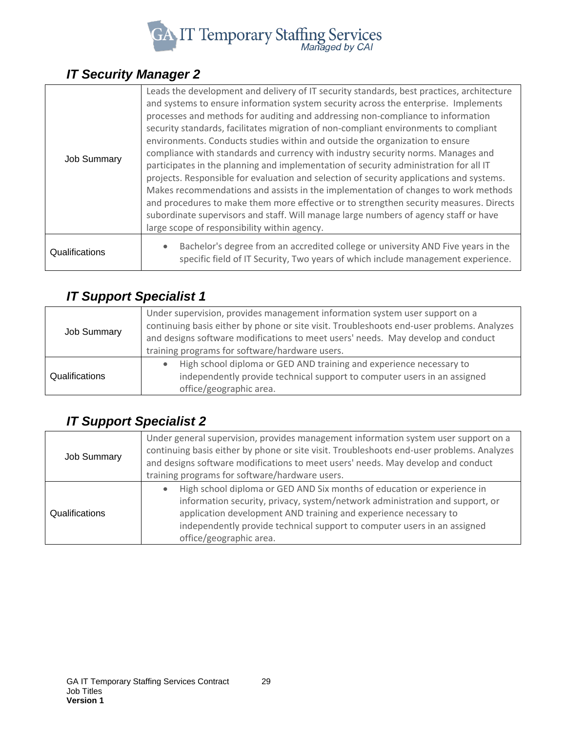

## <span id="page-28-0"></span>*IT Security Manager 2*

| <b>Job Summary</b> | Leads the development and delivery of IT security standards, best practices, architecture<br>and systems to ensure information system security across the enterprise. Implements<br>processes and methods for auditing and addressing non-compliance to information<br>security standards, facilitates migration of non-compliant environments to compliant<br>environments. Conducts studies within and outside the organization to ensure<br>compliance with standards and currency with industry security norms. Manages and<br>participates in the planning and implementation of security administration for all IT<br>projects. Responsible for evaluation and selection of security applications and systems.<br>Makes recommendations and assists in the implementation of changes to work methods<br>and procedures to make them more effective or to strengthen security measures. Directs<br>subordinate supervisors and staff. Will manage large numbers of agency staff or have<br>large scope of responsibility within agency. |
|--------------------|----------------------------------------------------------------------------------------------------------------------------------------------------------------------------------------------------------------------------------------------------------------------------------------------------------------------------------------------------------------------------------------------------------------------------------------------------------------------------------------------------------------------------------------------------------------------------------------------------------------------------------------------------------------------------------------------------------------------------------------------------------------------------------------------------------------------------------------------------------------------------------------------------------------------------------------------------------------------------------------------------------------------------------------------|
| Qualifications     | Bachelor's degree from an accredited college or university AND Five years in the<br>specific field of IT Security, Two years of which include management experience.                                                                                                                                                                                                                                                                                                                                                                                                                                                                                                                                                                                                                                                                                                                                                                                                                                                                         |

## <span id="page-28-1"></span>*IT Support Specialist 1*

| <b>Job Summary</b> | Under supervision, provides management information system user support on a<br>continuing basis either by phone or site visit. Troubleshoots end-user problems. Analyzes<br>and designs software modifications to meet users' needs. May develop and conduct<br>training programs for software/hardware users. |
|--------------------|----------------------------------------------------------------------------------------------------------------------------------------------------------------------------------------------------------------------------------------------------------------------------------------------------------------|
| Qualifications     | High school diploma or GED AND training and experience necessary to<br>independently provide technical support to computer users in an assigned<br>office/geographic area.                                                                                                                                     |

## <span id="page-28-2"></span>*IT Support Specialist 2*

| <b>Job Summary</b> | Under general supervision, provides management information system user support on a<br>continuing basis either by phone or site visit. Troubleshoots end-user problems. Analyzes<br>and designs software modifications to meet users' needs. May develop and conduct<br>training programs for software/hardware users.             |
|--------------------|------------------------------------------------------------------------------------------------------------------------------------------------------------------------------------------------------------------------------------------------------------------------------------------------------------------------------------|
| Qualifications     | High school diploma or GED AND Six months of education or experience in<br>information security, privacy, system/network administration and support, or<br>application development AND training and experience necessary to<br>independently provide technical support to computer users in an assigned<br>office/geographic area. |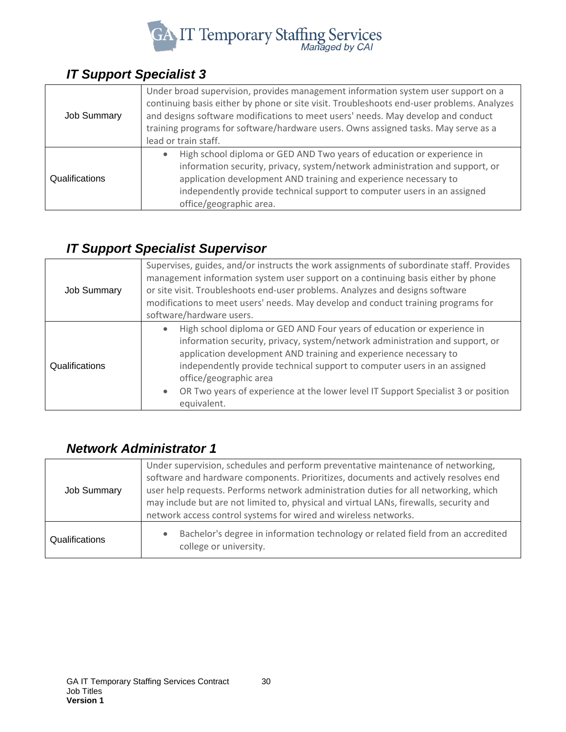

## <span id="page-29-0"></span>*IT Support Specialist 3*

| <b>Job Summary</b> | Under broad supervision, provides management information system user support on a<br>continuing basis either by phone or site visit. Troubleshoots end-user problems. Analyzes<br>and designs software modifications to meet users' needs. May develop and conduct<br>training programs for software/hardware users. Owns assigned tasks. May serve as a<br>lead or train staff. |
|--------------------|----------------------------------------------------------------------------------------------------------------------------------------------------------------------------------------------------------------------------------------------------------------------------------------------------------------------------------------------------------------------------------|
| Qualifications     | High school diploma or GED AND Two years of education or experience in<br>information security, privacy, system/network administration and support, or<br>application development AND training and experience necessary to<br>independently provide technical support to computer users in an assigned<br>office/geographic area.                                                |

## <span id="page-29-1"></span>*IT Support Specialist Supervisor*

| <b>Job Summary</b> | Supervises, guides, and/or instructs the work assignments of subordinate staff. Provides<br>management information system user support on a continuing basis either by phone<br>or site visit. Troubleshoots end-user problems. Analyzes and designs software<br>modifications to meet users' needs. May develop and conduct training programs for<br>software/hardware users.                                                        |
|--------------------|---------------------------------------------------------------------------------------------------------------------------------------------------------------------------------------------------------------------------------------------------------------------------------------------------------------------------------------------------------------------------------------------------------------------------------------|
| Qualifications     | High school diploma or GED AND Four years of education or experience in<br>information security, privacy, system/network administration and support, or<br>application development AND training and experience necessary to<br>independently provide technical support to computer users in an assigned<br>office/geographic area<br>OR Two years of experience at the lower level IT Support Specialist 3 or position<br>equivalent. |

#### <span id="page-29-2"></span>*Network Administrator 1*

| Job Summary    | Under supervision, schedules and perform preventative maintenance of networking,<br>software and hardware components. Prioritizes, documents and actively resolves end<br>user help requests. Performs network administration duties for all networking, which<br>may include but are not limited to, physical and virtual LANs, firewalls, security and<br>network access control systems for wired and wireless networks. |
|----------------|-----------------------------------------------------------------------------------------------------------------------------------------------------------------------------------------------------------------------------------------------------------------------------------------------------------------------------------------------------------------------------------------------------------------------------|
| Qualifications | Bachelor's degree in information technology or related field from an accredited<br>college or university.                                                                                                                                                                                                                                                                                                                   |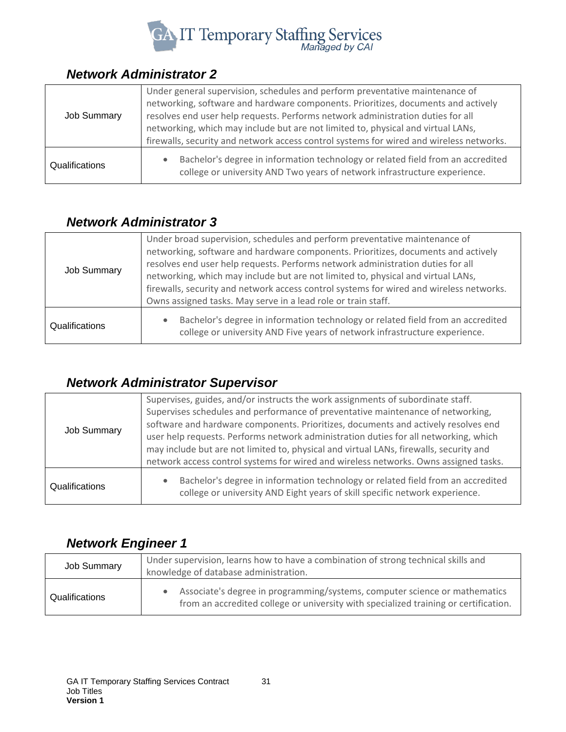

#### <span id="page-30-0"></span>*Network Administrator 2*

| <b>Job Summary</b> | Under general supervision, schedules and perform preventative maintenance of                                                                                                |
|--------------------|-----------------------------------------------------------------------------------------------------------------------------------------------------------------------------|
|                    | networking, software and hardware components. Prioritizes, documents and actively<br>resolves end user help requests. Performs network administration duties for all        |
|                    | networking, which may include but are not limited to, physical and virtual LANs,<br>firewalls, security and network access control systems for wired and wireless networks. |
| Qualifications     | Bachelor's degree in information technology or related field from an accredited<br>college or university AND Two years of network infrastructure experience.                |

#### <span id="page-30-1"></span>*Network Administrator 3*

| Job Summary           | Under broad supervision, schedules and perform preventative maintenance of<br>networking, software and hardware components. Prioritizes, documents and actively<br>resolves end user help requests. Performs network administration duties for all<br>networking, which may include but are not limited to, physical and virtual LANs,<br>firewalls, security and network access control systems for wired and wireless networks.<br>Owns assigned tasks. May serve in a lead role or train staff. |
|-----------------------|----------------------------------------------------------------------------------------------------------------------------------------------------------------------------------------------------------------------------------------------------------------------------------------------------------------------------------------------------------------------------------------------------------------------------------------------------------------------------------------------------|
| <b>Qualifications</b> | Bachelor's degree in information technology or related field from an accredited<br>$\bullet$<br>college or university AND Five years of network infrastructure experience.                                                                                                                                                                                                                                                                                                                         |

## <span id="page-30-2"></span>*Network Administrator Supervisor*

| <b>Job Summary</b> | Supervises, guides, and/or instructs the work assignments of subordinate staff.<br>Supervises schedules and performance of preventative maintenance of networking,<br>software and hardware components. Prioritizes, documents and actively resolves end<br>user help requests. Performs network administration duties for all networking, which<br>may include but are not limited to, physical and virtual LANs, firewalls, security and<br>network access control systems for wired and wireless networks. Owns assigned tasks. |
|--------------------|------------------------------------------------------------------------------------------------------------------------------------------------------------------------------------------------------------------------------------------------------------------------------------------------------------------------------------------------------------------------------------------------------------------------------------------------------------------------------------------------------------------------------------|
| Qualifications     | Bachelor's degree in information technology or related field from an accredited<br>college or university AND Eight years of skill specific network experience.                                                                                                                                                                                                                                                                                                                                                                     |

#### <span id="page-30-3"></span>*Network Engineer 1*

| Job Summary    | Under supervision, learns how to have a combination of strong technical skills and<br>knowledge of database administration.                                        |
|----------------|--------------------------------------------------------------------------------------------------------------------------------------------------------------------|
| Qualifications | Associate's degree in programming/systems, computer science or mathematics<br>from an accredited college or university with specialized training or certification. |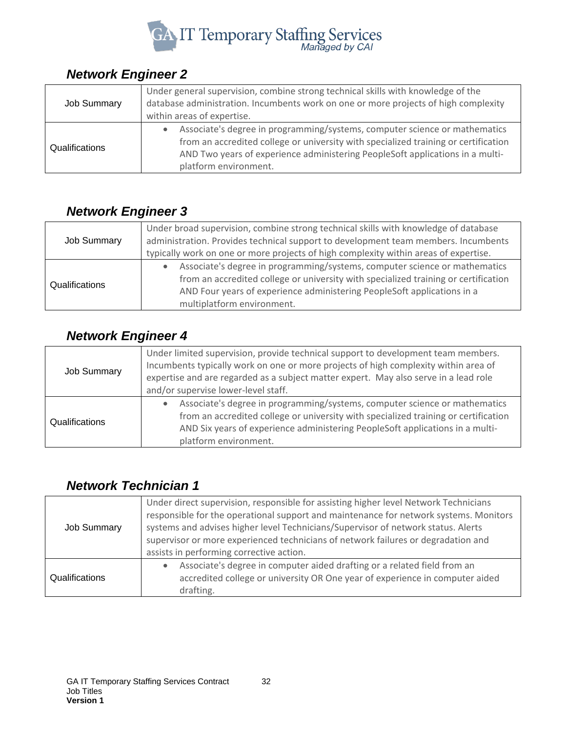

#### <span id="page-31-0"></span>*Network Engineer 2*

| <b>Job Summary</b> | Under general supervision, combine strong technical skills with knowledge of the<br>database administration. Incumbents work on one or more projects of high complexity<br>within areas of expertise.                                                                                    |
|--------------------|------------------------------------------------------------------------------------------------------------------------------------------------------------------------------------------------------------------------------------------------------------------------------------------|
| Qualifications     | Associate's degree in programming/systems, computer science or mathematics<br>$\bullet$<br>from an accredited college or university with specialized training or certification<br>AND Two years of experience administering PeopleSoft applications in a multi-<br>platform environment. |

#### <span id="page-31-1"></span>*Network Engineer 3*

| <b>Job Summary</b> | Under broad supervision, combine strong technical skills with knowledge of database<br>administration. Provides technical support to development team members. Incumbents                                                                                                  |
|--------------------|----------------------------------------------------------------------------------------------------------------------------------------------------------------------------------------------------------------------------------------------------------------------------|
|                    | typically work on one or more projects of high complexity within areas of expertise.                                                                                                                                                                                       |
| Qualifications     | Associate's degree in programming/systems, computer science or mathematics<br>from an accredited college or university with specialized training or certification<br>AND Four years of experience administering PeopleSoft applications in a<br>multiplatform environment. |

#### <span id="page-31-2"></span>*Network Engineer 4*

| <b>Job Summary</b> | Under limited supervision, provide technical support to development team members.<br>Incumbents typically work on one or more projects of high complexity within area of<br>expertise and are regarded as a subject matter expert. May also serve in a lead role<br>and/or supervise lower-level staff. |
|--------------------|---------------------------------------------------------------------------------------------------------------------------------------------------------------------------------------------------------------------------------------------------------------------------------------------------------|
| Qualifications     | Associate's degree in programming/systems, computer science or mathematics<br>from an accredited college or university with specialized training or certification<br>AND Six years of experience administering PeopleSoft applications in a multi-<br>platform environment.                             |

#### <span id="page-31-3"></span>*Network Technician 1*

| Job Summary    | Under direct supervision, responsible for assisting higher level Network Technicians<br>responsible for the operational support and maintenance for network systems. Monitors<br>systems and advises higher level Technicians/Supervisor of network status. Alerts<br>supervisor or more experienced technicians of network failures or degradation and<br>assists in performing corrective action. |
|----------------|-----------------------------------------------------------------------------------------------------------------------------------------------------------------------------------------------------------------------------------------------------------------------------------------------------------------------------------------------------------------------------------------------------|
| Qualifications | Associate's degree in computer aided drafting or a related field from an<br>accredited college or university OR One year of experience in computer aided<br>drafting.                                                                                                                                                                                                                               |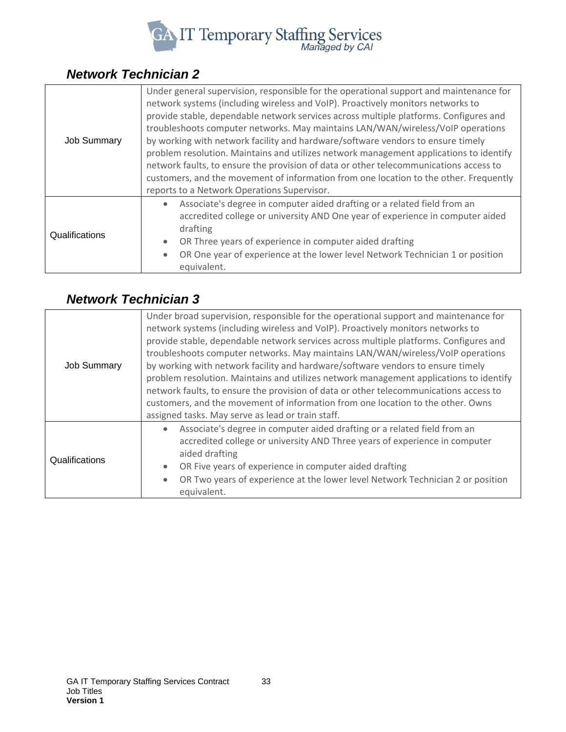

## <span id="page-32-0"></span>*Network Technician 2*

| <b>Job Summary</b> | Under general supervision, responsible for the operational support and maintenance for<br>network systems (including wireless and VoIP). Proactively monitors networks to<br>provide stable, dependable network services across multiple platforms. Configures and<br>troubleshoots computer networks. May maintains LAN/WAN/wireless/VoIP operations<br>by working with network facility and hardware/software vendors to ensure timely<br>problem resolution. Maintains and utilizes network management applications to identify<br>network faults, to ensure the provision of data or other telecommunications access to<br>customers, and the movement of information from one location to the other. Frequently<br>reports to a Network Operations Supervisor. |
|--------------------|---------------------------------------------------------------------------------------------------------------------------------------------------------------------------------------------------------------------------------------------------------------------------------------------------------------------------------------------------------------------------------------------------------------------------------------------------------------------------------------------------------------------------------------------------------------------------------------------------------------------------------------------------------------------------------------------------------------------------------------------------------------------|
| Qualifications     | Associate's degree in computer aided drafting or a related field from an<br>accredited college or university AND One year of experience in computer aided<br>drafting<br>OR Three years of experience in computer aided drafting<br>OR One year of experience at the lower level Network Technician 1 or position<br>equivalent.                                                                                                                                                                                                                                                                                                                                                                                                                                    |

#### <span id="page-32-1"></span>*Network Technician 3*

| <b>Job Summary</b> | Under broad supervision, responsible for the operational support and maintenance for<br>network systems (including wireless and VoIP). Proactively monitors networks to<br>provide stable, dependable network services across multiple platforms. Configures and<br>troubleshoots computer networks. May maintains LAN/WAN/wireless/VoIP operations<br>by working with network facility and hardware/software vendors to ensure timely<br>problem resolution. Maintains and utilizes network management applications to identify<br>network faults, to ensure the provision of data or other telecommunications access to<br>customers, and the movement of information from one location to the other. Owns<br>assigned tasks. May serve as lead or train staff. |
|--------------------|-------------------------------------------------------------------------------------------------------------------------------------------------------------------------------------------------------------------------------------------------------------------------------------------------------------------------------------------------------------------------------------------------------------------------------------------------------------------------------------------------------------------------------------------------------------------------------------------------------------------------------------------------------------------------------------------------------------------------------------------------------------------|
| Qualifications     | Associate's degree in computer aided drafting or a related field from an<br>accredited college or university AND Three years of experience in computer<br>aided drafting<br>OR Five years of experience in computer aided drafting<br>OR Two years of experience at the lower level Network Technician 2 or position<br>equivalent.                                                                                                                                                                                                                                                                                                                                                                                                                               |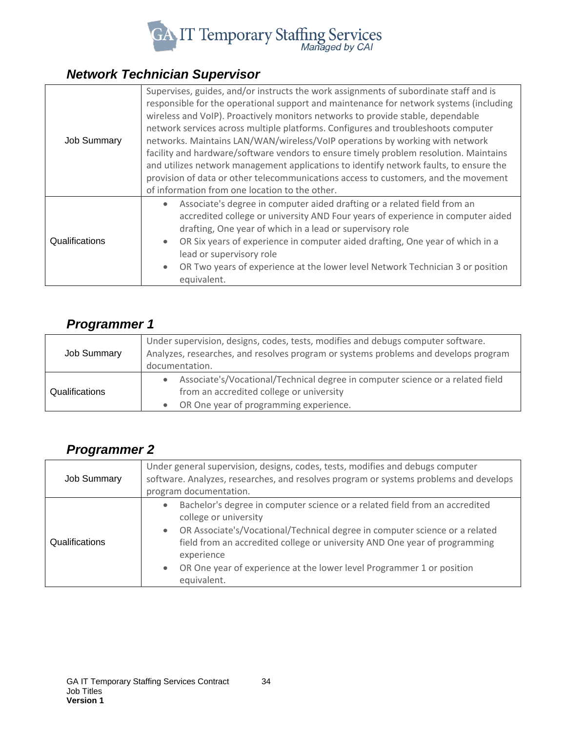

## <span id="page-33-0"></span>*Network Technician Supervisor*

| <b>Job Summary</b> | Supervises, guides, and/or instructs the work assignments of subordinate staff and is<br>responsible for the operational support and maintenance for network systems (including<br>wireless and VoIP). Proactively monitors networks to provide stable, dependable<br>network services across multiple platforms. Configures and troubleshoots computer<br>networks. Maintains LAN/WAN/wireless/VoIP operations by working with network<br>facility and hardware/software vendors to ensure timely problem resolution. Maintains<br>and utilizes network management applications to identify network faults, to ensure the<br>provision of data or other telecommunications access to customers, and the movement<br>of information from one location to the other. |
|--------------------|---------------------------------------------------------------------------------------------------------------------------------------------------------------------------------------------------------------------------------------------------------------------------------------------------------------------------------------------------------------------------------------------------------------------------------------------------------------------------------------------------------------------------------------------------------------------------------------------------------------------------------------------------------------------------------------------------------------------------------------------------------------------|
| Qualifications     | Associate's degree in computer aided drafting or a related field from an<br>accredited college or university AND Four years of experience in computer aided<br>drafting, One year of which in a lead or supervisory role<br>OR Six years of experience in computer aided drafting, One year of which in a<br>lead or supervisory role<br>OR Two years of experience at the lower level Network Technician 3 or position<br>equivalent.                                                                                                                                                                                                                                                                                                                              |

#### <span id="page-33-1"></span>*Programmer 1*

| <b>Job Summary</b> | Under supervision, designs, codes, tests, modifies and debugs computer software.<br>Analyzes, researches, and resolves program or systems problems and develops program<br>documentation. |
|--------------------|-------------------------------------------------------------------------------------------------------------------------------------------------------------------------------------------|
| Qualifications     | Associate's/Vocational/Technical degree in computer science or a related field<br>from an accredited college or university<br>OR One year of programming experience.                      |

## <span id="page-33-2"></span>*Programmer 2*

| <b>Job Summary</b> | Under general supervision, designs, codes, tests, modifies and debugs computer<br>software. Analyzes, researches, and resolves program or systems problems and develops<br>program documentation.                                                                                                                                                                                                 |
|--------------------|---------------------------------------------------------------------------------------------------------------------------------------------------------------------------------------------------------------------------------------------------------------------------------------------------------------------------------------------------------------------------------------------------|
| Qualifications     | Bachelor's degree in computer science or a related field from an accredited<br>$\bullet$<br>college or university<br>OR Associate's/Vocational/Technical degree in computer science or a related<br>$\bullet$<br>field from an accredited college or university AND One year of programming<br>experience<br>OR One year of experience at the lower level Programmer 1 or position<br>equivalent. |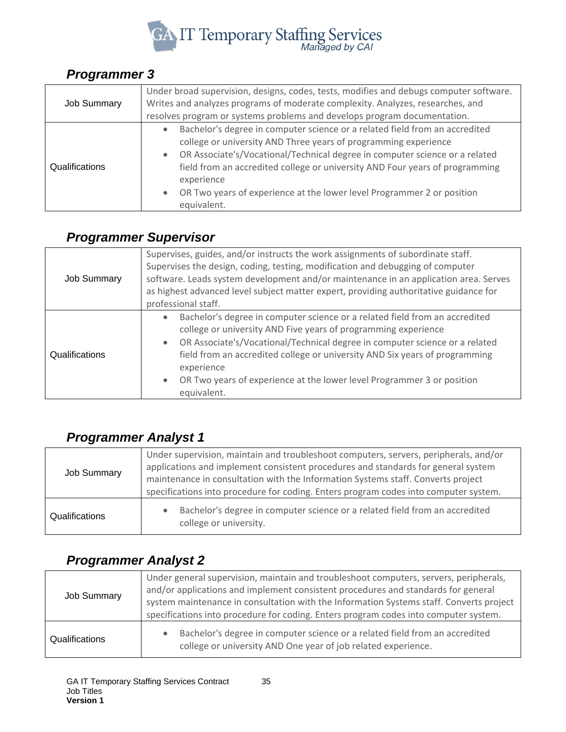

#### <span id="page-34-0"></span>*Programmer 3*

| <b>Job Summary</b> | Under broad supervision, designs, codes, tests, modifies and debugs computer software.<br>Writes and analyzes programs of moderate complexity. Analyzes, researches, and<br>resolves program or systems problems and develops program documentation.                                                                                                                                                                 |
|--------------------|----------------------------------------------------------------------------------------------------------------------------------------------------------------------------------------------------------------------------------------------------------------------------------------------------------------------------------------------------------------------------------------------------------------------|
| Qualifications     | Bachelor's degree in computer science or a related field from an accredited<br>college or university AND Three years of programming experience<br>OR Associate's/Vocational/Technical degree in computer science or a related<br>field from an accredited college or university AND Four years of programming<br>experience<br>OR Two years of experience at the lower level Programmer 2 or position<br>equivalent. |

## <span id="page-34-1"></span>*Programmer Supervisor*

| <b>Job Summary</b> | Supervises, guides, and/or instructs the work assignments of subordinate staff.<br>Supervises the design, coding, testing, modification and debugging of computer<br>software. Leads system development and/or maintenance in an application area. Serves<br>as highest advanced level subject matter expert, providing authoritative guidance for<br>professional staff.                                                                                 |
|--------------------|-----------------------------------------------------------------------------------------------------------------------------------------------------------------------------------------------------------------------------------------------------------------------------------------------------------------------------------------------------------------------------------------------------------------------------------------------------------|
| Qualifications     | Bachelor's degree in computer science or a related field from an accredited<br>$\bullet$<br>college or university AND Five years of programming experience<br>OR Associate's/Vocational/Technical degree in computer science or a related<br>$\bullet$<br>field from an accredited college or university AND Six years of programming<br>experience<br>OR Two years of experience at the lower level Programmer 3 or position<br>$\bullet$<br>equivalent. |

## <span id="page-34-2"></span>*Programmer Analyst 1*

| <b>Job Summary</b> | Under supervision, maintain and troubleshoot computers, servers, peripherals, and/or<br>applications and implement consistent procedures and standards for general system<br>maintenance in consultation with the Information Systems staff. Converts project<br>specifications into procedure for coding. Enters program codes into computer system. |
|--------------------|-------------------------------------------------------------------------------------------------------------------------------------------------------------------------------------------------------------------------------------------------------------------------------------------------------------------------------------------------------|
| Qualifications     | Bachelor's degree in computer science or a related field from an accredited<br>college or university.                                                                                                                                                                                                                                                 |

#### <span id="page-34-3"></span>*Programmer Analyst 2*

| <b>Job Summary</b> | Under general supervision, maintain and troubleshoot computers, servers, peripherals,<br>and/or applications and implement consistent procedures and standards for general<br>system maintenance in consultation with the Information Systems staff. Converts project<br>specifications into procedure for coding. Enters program codes into computer system. |
|--------------------|---------------------------------------------------------------------------------------------------------------------------------------------------------------------------------------------------------------------------------------------------------------------------------------------------------------------------------------------------------------|
| Qualifications     | Bachelor's degree in computer science or a related field from an accredited<br>college or university AND One year of job related experience.                                                                                                                                                                                                                  |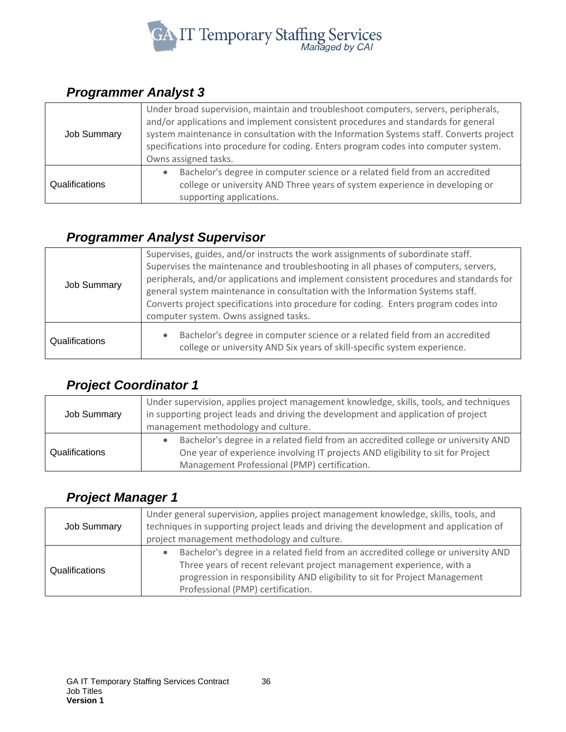

#### <span id="page-35-0"></span>*Programmer Analyst 3*

| Job Summary    | Under broad supervision, maintain and troubleshoot computers, servers, peripherals,<br>and/or applications and implement consistent procedures and standards for general<br>system maintenance in consultation with the Information Systems staff. Converts project<br>specifications into procedure for coding. Enters program codes into computer system.<br>Owns assigned tasks. |
|----------------|-------------------------------------------------------------------------------------------------------------------------------------------------------------------------------------------------------------------------------------------------------------------------------------------------------------------------------------------------------------------------------------|
| Qualifications | Bachelor's degree in computer science or a related field from an accredited<br>college or university AND Three years of system experience in developing or<br>supporting applications.                                                                                                                                                                                              |

#### <span id="page-35-1"></span>*Programmer Analyst Supervisor*

| <b>Job Summary</b> | Supervises, guides, and/or instructs the work assignments of subordinate staff.<br>Supervises the maintenance and troubleshooting in all phases of computers, servers,<br>peripherals, and/or applications and implement consistent procedures and standards for<br>general system maintenance in consultation with the Information Systems staff.<br>Converts project specifications into procedure for coding. Enters program codes into<br>computer system. Owns assigned tasks. |
|--------------------|-------------------------------------------------------------------------------------------------------------------------------------------------------------------------------------------------------------------------------------------------------------------------------------------------------------------------------------------------------------------------------------------------------------------------------------------------------------------------------------|
| Qualifications     | Bachelor's degree in computer science or a related field from an accredited<br>$\bullet$<br>college or university AND Six years of skill-specific system experience.                                                                                                                                                                                                                                                                                                                |

## <span id="page-35-2"></span>*Project Coordinator 1*

| <b>Job Summary</b> | Under supervision, applies project management knowledge, skills, tools, and techniques<br>in supporting project leads and driving the development and application of project<br>management methodology and culture.  |
|--------------------|----------------------------------------------------------------------------------------------------------------------------------------------------------------------------------------------------------------------|
| Qualifications     | Bachelor's degree in a related field from an accredited college or university AND<br>One year of experience involving IT projects AND eligibility to sit for Project<br>Management Professional (PMP) certification. |

#### <span id="page-35-3"></span>*Project Manager 1*

| <b>Job Summary</b> | Under general supervision, applies project management knowledge, skills, tools, and<br>techniques in supporting project leads and driving the development and application of<br>project management methodology and culture.                                                   |
|--------------------|-------------------------------------------------------------------------------------------------------------------------------------------------------------------------------------------------------------------------------------------------------------------------------|
| Qualifications     | Bachelor's degree in a related field from an accredited college or university AND<br>Three years of recent relevant project management experience, with a<br>progression in responsibility AND eligibility to sit for Project Management<br>Professional (PMP) certification. |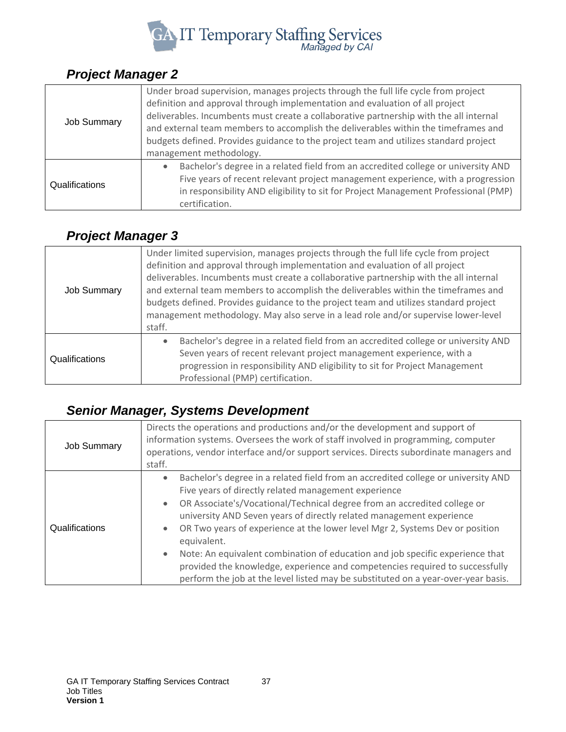

#### <span id="page-36-0"></span>*Project Manager 2*

| <b>Job Summary</b> | Under broad supervision, manages projects through the full life cycle from project<br>definition and approval through implementation and evaluation of all project<br>deliverables. Incumbents must create a collaborative partnership with the all internal<br>and external team members to accomplish the deliverables within the timeframes and<br>budgets defined. Provides guidance to the project team and utilizes standard project<br>management methodology. |
|--------------------|-----------------------------------------------------------------------------------------------------------------------------------------------------------------------------------------------------------------------------------------------------------------------------------------------------------------------------------------------------------------------------------------------------------------------------------------------------------------------|
| Qualifications     | Bachelor's degree in a related field from an accredited college or university AND<br>Five years of recent relevant project management experience, with a progression<br>in responsibility AND eligibility to sit for Project Management Professional (PMP)<br>certification.                                                                                                                                                                                          |

## <span id="page-36-1"></span>*Project Manager 3*

| <b>Job Summary</b> | Under limited supervision, manages projects through the full life cycle from project<br>definition and approval through implementation and evaluation of all project<br>deliverables. Incumbents must create a collaborative partnership with the all internal<br>and external team members to accomplish the deliverables within the timeframes and<br>budgets defined. Provides guidance to the project team and utilizes standard project<br>management methodology. May also serve in a lead role and/or supervise lower-level<br>staff. |
|--------------------|----------------------------------------------------------------------------------------------------------------------------------------------------------------------------------------------------------------------------------------------------------------------------------------------------------------------------------------------------------------------------------------------------------------------------------------------------------------------------------------------------------------------------------------------|
| Qualifications     | Bachelor's degree in a related field from an accredited college or university AND<br>$\bullet$<br>Seven years of recent relevant project management experience, with a<br>progression in responsibility AND eligibility to sit for Project Management<br>Professional (PMP) certification.                                                                                                                                                                                                                                                   |

## <span id="page-36-2"></span>*Senior Manager, Systems Development*

| Job Summary    | Directs the operations and productions and/or the development and support of<br>information systems. Oversees the work of staff involved in programming, computer<br>operations, vendor interface and/or support services. Directs subordinate managers and<br>staff.                                                                                                                                                                                                                                                                                                                                                                                                        |
|----------------|------------------------------------------------------------------------------------------------------------------------------------------------------------------------------------------------------------------------------------------------------------------------------------------------------------------------------------------------------------------------------------------------------------------------------------------------------------------------------------------------------------------------------------------------------------------------------------------------------------------------------------------------------------------------------|
| Qualifications | Bachelor's degree in a related field from an accredited college or university AND<br>$\bullet$<br>Five years of directly related management experience<br>OR Associate's/Vocational/Technical degree from an accredited college or<br>$\bullet$<br>university AND Seven years of directly related management experience<br>OR Two years of experience at the lower level Mgr 2, Systems Dev or position<br>equivalent.<br>Note: An equivalent combination of education and job specific experience that<br>provided the knowledge, experience and competencies required to successfully<br>perform the job at the level listed may be substituted on a year-over-year basis. |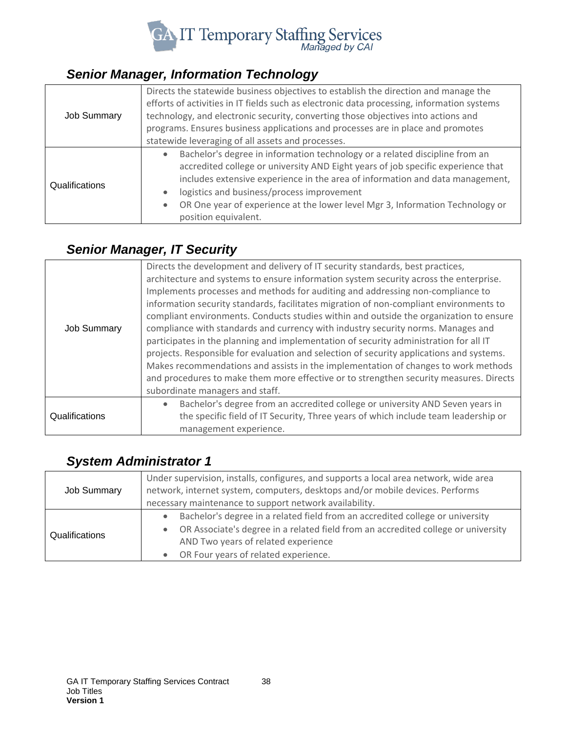

## <span id="page-37-0"></span>*Senior Manager, Information Technology*

| <b>Job Summary</b> | Directs the statewide business objectives to establish the direction and manage the<br>efforts of activities in IT fields such as electronic data processing, information systems<br>technology, and electronic security, converting those objectives into actions and<br>programs. Ensures business applications and processes are in place and promotes<br>statewide leveraging of all assets and processes. |
|--------------------|----------------------------------------------------------------------------------------------------------------------------------------------------------------------------------------------------------------------------------------------------------------------------------------------------------------------------------------------------------------------------------------------------------------|
| Qualifications     | Bachelor's degree in information technology or a related discipline from an<br>accredited college or university AND Eight years of job specific experience that<br>includes extensive experience in the area of information and data management,<br>logistics and business/process improvement<br>OR One year of experience at the lower level Mgr 3, Information Technology or<br>position equivalent.        |

## <span id="page-37-1"></span>*Senior Manager, IT Security*

|                    | Directs the development and delivery of IT security standards, best practices,<br>architecture and systems to ensure information system security across the enterprise.<br>Implements processes and methods for auditing and addressing non-compliance to<br>information security standards, facilitates migration of non-compliant environments to<br>compliant environments. Conducts studies within and outside the organization to ensure                                            |
|--------------------|------------------------------------------------------------------------------------------------------------------------------------------------------------------------------------------------------------------------------------------------------------------------------------------------------------------------------------------------------------------------------------------------------------------------------------------------------------------------------------------|
| <b>Job Summary</b> | compliance with standards and currency with industry security norms. Manages and<br>participates in the planning and implementation of security administration for all IT<br>projects. Responsible for evaluation and selection of security applications and systems.<br>Makes recommendations and assists in the implementation of changes to work methods<br>and procedures to make them more effective or to strengthen security measures. Directs<br>subordinate managers and staff. |
| Qualifications     | Bachelor's degree from an accredited college or university AND Seven years in<br>the specific field of IT Security, Three years of which include team leadership or<br>management experience.                                                                                                                                                                                                                                                                                            |

#### <span id="page-37-2"></span>*System Administrator 1*

| <b>Job Summary</b> | Under supervision, installs, configures, and supports a local area network, wide area<br>network, internet system, computers, desktops and/or mobile devices. Performs<br>necessary maintenance to support network availability.                  |
|--------------------|---------------------------------------------------------------------------------------------------------------------------------------------------------------------------------------------------------------------------------------------------|
| Qualifications     | Bachelor's degree in a related field from an accredited college or university<br>OR Associate's degree in a related field from an accredited college or university<br>AND Two years of related experience<br>OR Four years of related experience. |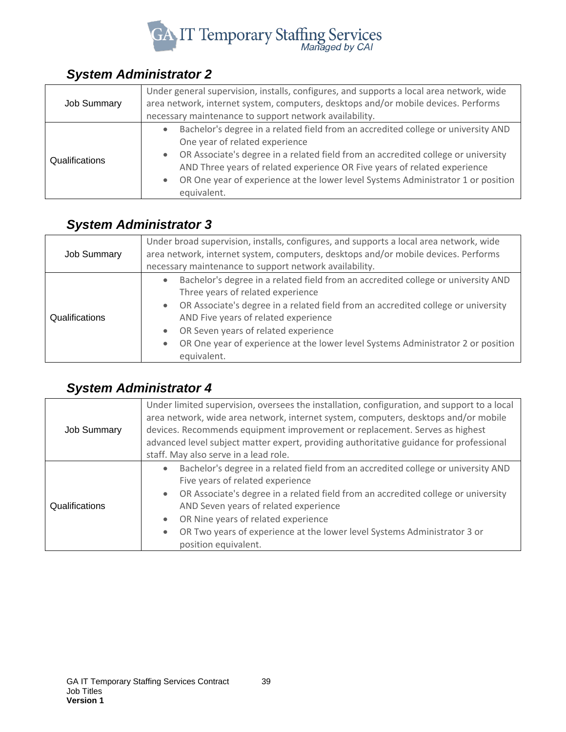

#### <span id="page-38-0"></span>*System Administrator 2*

| <b>Job Summary</b> | Under general supervision, installs, configures, and supports a local area network, wide<br>area network, internet system, computers, desktops and/or mobile devices. Performs<br>necessary maintenance to support network availability.                                                                                                                                                 |
|--------------------|------------------------------------------------------------------------------------------------------------------------------------------------------------------------------------------------------------------------------------------------------------------------------------------------------------------------------------------------------------------------------------------|
| Qualifications     | Bachelor's degree in a related field from an accredited college or university AND<br>One year of related experience<br>OR Associate's degree in a related field from an accredited college or university<br>AND Three years of related experience OR Five years of related experience<br>OR One year of experience at the lower level Systems Administrator 1 or position<br>equivalent. |

## <span id="page-38-1"></span>*System Administrator 3*

| <b>Job Summary</b> | Under broad supervision, installs, configures, and supports a local area network, wide<br>area network, internet system, computers, desktops and/or mobile devices. Performs<br>necessary maintenance to support network availability.                                                                                                                                                         |
|--------------------|------------------------------------------------------------------------------------------------------------------------------------------------------------------------------------------------------------------------------------------------------------------------------------------------------------------------------------------------------------------------------------------------|
| Qualifications     | Bachelor's degree in a related field from an accredited college or university AND<br>Three years of related experience<br>OR Associate's degree in a related field from an accredited college or university<br>AND Five years of related experience<br>OR Seven years of related experience<br>OR One year of experience at the lower level Systems Administrator 2 or position<br>equivalent. |

## <span id="page-38-2"></span>*System Administrator 4*

| <b>Job Summary</b> | Under limited supervision, oversees the installation, configuration, and support to a local<br>area network, wide area network, internet system, computers, desktops and/or mobile<br>devices. Recommends equipment improvement or replacement. Serves as highest<br>advanced level subject matter expert, providing authoritative guidance for professional<br>staff. May also serve in a lead role. |
|--------------------|-------------------------------------------------------------------------------------------------------------------------------------------------------------------------------------------------------------------------------------------------------------------------------------------------------------------------------------------------------------------------------------------------------|
| Qualifications     | Bachelor's degree in a related field from an accredited college or university AND<br>Five years of related experience<br>OR Associate's degree in a related field from an accredited college or university<br>AND Seven years of related experience<br>OR Nine years of related experience<br>OR Two years of experience at the lower level Systems Administrator 3 or<br>position equivalent.        |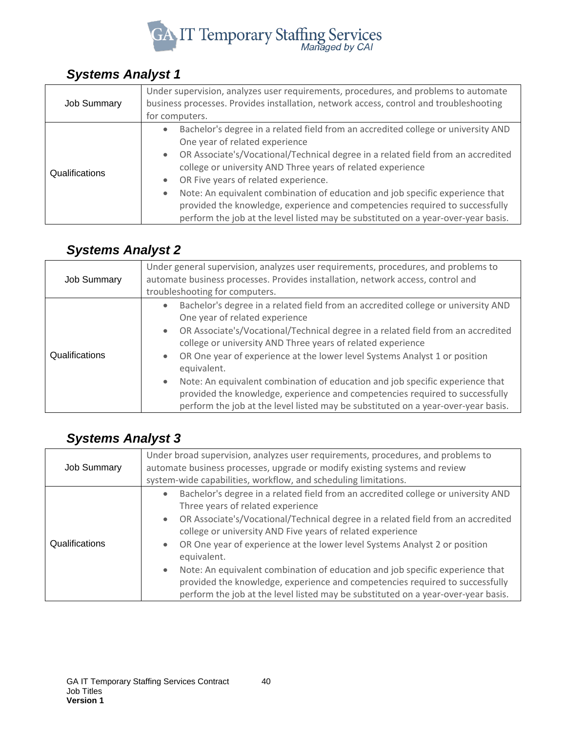

#### <span id="page-39-0"></span>*Systems Analyst 1*

| <b>Job Summary</b> | Under supervision, analyzes user requirements, procedures, and problems to automate<br>business processes. Provides installation, network access, control and troubleshooting<br>for computers.                                                                                                                                                                                                                                                                                                                                                                                   |
|--------------------|-----------------------------------------------------------------------------------------------------------------------------------------------------------------------------------------------------------------------------------------------------------------------------------------------------------------------------------------------------------------------------------------------------------------------------------------------------------------------------------------------------------------------------------------------------------------------------------|
| Qualifications     | Bachelor's degree in a related field from an accredited college or university AND<br>One year of related experience<br>OR Associate's/Vocational/Technical degree in a related field from an accredited<br>college or university AND Three years of related experience<br>OR Five years of related experience.<br>Note: An equivalent combination of education and job specific experience that<br>$\bullet$<br>provided the knowledge, experience and competencies required to successfully<br>perform the job at the level listed may be substituted on a year-over-year basis. |

## <span id="page-39-1"></span>*Systems Analyst 2*

| <b>Job Summary</b> | Under general supervision, analyzes user requirements, procedures, and problems to<br>automate business processes. Provides installation, network access, control and<br>troubleshooting for computers.                                                                                                                                                                                                                                                                                                                                                                                                                                |
|--------------------|----------------------------------------------------------------------------------------------------------------------------------------------------------------------------------------------------------------------------------------------------------------------------------------------------------------------------------------------------------------------------------------------------------------------------------------------------------------------------------------------------------------------------------------------------------------------------------------------------------------------------------------|
| Qualifications     | Bachelor's degree in a related field from an accredited college or university AND<br>One year of related experience<br>OR Associate's/Vocational/Technical degree in a related field from an accredited<br>college or university AND Three years of related experience<br>OR One year of experience at the lower level Systems Analyst 1 or position<br>equivalent.<br>Note: An equivalent combination of education and job specific experience that<br>$\bullet$<br>provided the knowledge, experience and competencies required to successfully<br>perform the job at the level listed may be substituted on a year-over-year basis. |

## <span id="page-39-2"></span>*Systems Analyst 3*

| <b>Job Summary</b> | Under broad supervision, analyzes user requirements, procedures, and problems to<br>automate business processes, upgrade or modify existing systems and review<br>system-wide capabilities, workflow, and scheduling limitations.                                                                                                                                                                                                                                                                                                                                                                                                                     |
|--------------------|-------------------------------------------------------------------------------------------------------------------------------------------------------------------------------------------------------------------------------------------------------------------------------------------------------------------------------------------------------------------------------------------------------------------------------------------------------------------------------------------------------------------------------------------------------------------------------------------------------------------------------------------------------|
| Qualifications     | Bachelor's degree in a related field from an accredited college or university AND<br>Three years of related experience<br>OR Associate's/Vocational/Technical degree in a related field from an accredited<br>$\bullet$<br>college or university AND Five years of related experience<br>OR One year of experience at the lower level Systems Analyst 2 or position<br>equivalent.<br>Note: An equivalent combination of education and job specific experience that<br>$\bullet$<br>provided the knowledge, experience and competencies required to successfully<br>perform the job at the level listed may be substituted on a year-over-year basis. |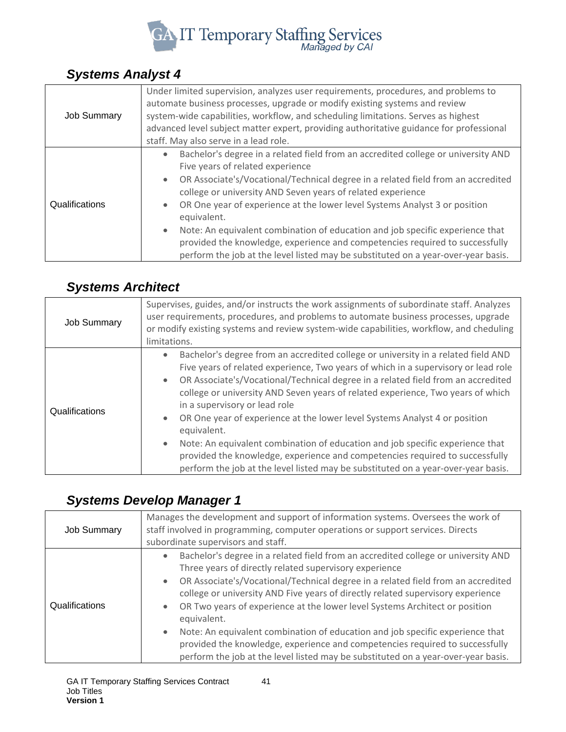

## <span id="page-40-0"></span>*Systems Analyst 4*

| <b>Job Summary</b> | Under limited supervision, analyzes user requirements, procedures, and problems to<br>automate business processes, upgrade or modify existing systems and review<br>system-wide capabilities, workflow, and scheduling limitations. Serves as highest<br>advanced level subject matter expert, providing authoritative guidance for professional<br>staff. May also serve in a lead role.                                                                                                                                                                                                                                                |
|--------------------|------------------------------------------------------------------------------------------------------------------------------------------------------------------------------------------------------------------------------------------------------------------------------------------------------------------------------------------------------------------------------------------------------------------------------------------------------------------------------------------------------------------------------------------------------------------------------------------------------------------------------------------|
| Qualifications     | Bachelor's degree in a related field from an accredited college or university AND<br>Five years of related experience<br>OR Associate's/Vocational/Technical degree in a related field from an accredited<br>college or university AND Seven years of related experience<br>OR One year of experience at the lower level Systems Analyst 3 or position<br>equivalent.<br>Note: An equivalent combination of education and job specific experience that<br>$\bullet$<br>provided the knowledge, experience and competencies required to successfully<br>perform the job at the level listed may be substituted on a year-over-year basis. |

## <span id="page-40-1"></span>*Systems Architect*

| <b>Job Summary</b> | Supervises, guides, and/or instructs the work assignments of subordinate staff. Analyzes<br>user requirements, procedures, and problems to automate business processes, upgrade<br>or modify existing systems and review system-wide capabilities, workflow, and cheduling<br>limitations.                                                                                                                                                                                                                                                                                                                                                                                                                                                                   |
|--------------------|--------------------------------------------------------------------------------------------------------------------------------------------------------------------------------------------------------------------------------------------------------------------------------------------------------------------------------------------------------------------------------------------------------------------------------------------------------------------------------------------------------------------------------------------------------------------------------------------------------------------------------------------------------------------------------------------------------------------------------------------------------------|
| Qualifications     | Bachelor's degree from an accredited college or university in a related field AND<br>$\bullet$<br>Five years of related experience, Two years of which in a supervisory or lead role<br>OR Associate's/Vocational/Technical degree in a related field from an accredited<br>college or university AND Seven years of related experience, Two years of which<br>in a supervisory or lead role<br>OR One year of experience at the lower level Systems Analyst 4 or position<br>equivalent.<br>Note: An equivalent combination of education and job specific experience that<br>$\bullet$<br>provided the knowledge, experience and competencies required to successfully<br>perform the job at the level listed may be substituted on a year-over-year basis. |

## <span id="page-40-2"></span>*Systems Develop Manager 1*

| <b>Job Summary</b> | Manages the development and support of information systems. Oversees the work of<br>staff involved in programming, computer operations or support services. Directs<br>subordinate supervisors and staff.                                                                                                                                                                                                                                                                                                                                                                                                                                                                           |
|--------------------|-------------------------------------------------------------------------------------------------------------------------------------------------------------------------------------------------------------------------------------------------------------------------------------------------------------------------------------------------------------------------------------------------------------------------------------------------------------------------------------------------------------------------------------------------------------------------------------------------------------------------------------------------------------------------------------|
| Qualifications     | Bachelor's degree in a related field from an accredited college or university AND<br>Three years of directly related supervisory experience<br>OR Associate's/Vocational/Technical degree in a related field from an accredited<br>college or university AND Five years of directly related supervisory experience<br>OR Two years of experience at the lower level Systems Architect or position<br>equivalent.<br>Note: An equivalent combination of education and job specific experience that<br>$\bullet$<br>provided the knowledge, experience and competencies required to successfully<br>perform the job at the level listed may be substituted on a year-over-year basis. |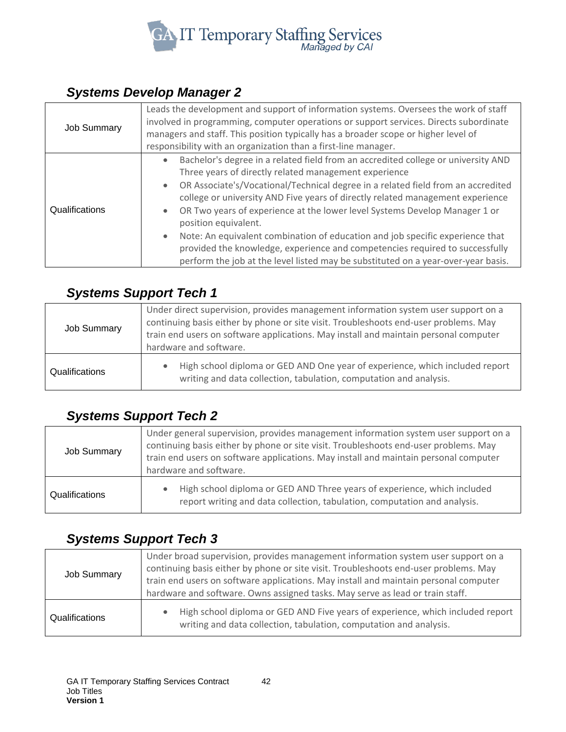

## <span id="page-41-0"></span>*Systems Develop Manager 2*

| <b>Job Summary</b> | Leads the development and support of information systems. Oversees the work of staff<br>involved in programming, computer operations or support services. Directs subordinate<br>managers and staff. This position typically has a broader scope or higher level of<br>responsibility with an organization than a first-line manager.                                                                                                                                                                                                                                                                                                                                                     |
|--------------------|-------------------------------------------------------------------------------------------------------------------------------------------------------------------------------------------------------------------------------------------------------------------------------------------------------------------------------------------------------------------------------------------------------------------------------------------------------------------------------------------------------------------------------------------------------------------------------------------------------------------------------------------------------------------------------------------|
| Qualifications     | Bachelor's degree in a related field from an accredited college or university AND<br>Three years of directly related management experience<br>OR Associate's/Vocational/Technical degree in a related field from an accredited<br>college or university AND Five years of directly related management experience<br>OR Two years of experience at the lower level Systems Develop Manager 1 or<br>position equivalent.<br>Note: An equivalent combination of education and job specific experience that<br>$\bullet$<br>provided the knowledge, experience and competencies required to successfully<br>perform the job at the level listed may be substituted on a year-over-year basis. |

#### <span id="page-41-1"></span>*Systems Support Tech 1*

| <b>Job Summary</b> | Under direct supervision, provides management information system user support on a<br>continuing basis either by phone or site visit. Troubleshoots end-user problems. May<br>train end users on software applications. May install and maintain personal computer<br>hardware and software. |
|--------------------|----------------------------------------------------------------------------------------------------------------------------------------------------------------------------------------------------------------------------------------------------------------------------------------------|
| Qualifications     | High school diploma or GED AND One year of experience, which included report<br>writing and data collection, tabulation, computation and analysis.                                                                                                                                           |

#### <span id="page-41-2"></span>*Systems Support Tech 2*

| <b>Job Summary</b> | Under general supervision, provides management information system user support on a<br>continuing basis either by phone or site visit. Troubleshoots end-user problems. May<br>train end users on software applications. May install and maintain personal computer<br>hardware and software. |
|--------------------|-----------------------------------------------------------------------------------------------------------------------------------------------------------------------------------------------------------------------------------------------------------------------------------------------|
| Qualifications     | High school diploma or GED AND Three years of experience, which included<br>report writing and data collection, tabulation, computation and analysis.                                                                                                                                         |

#### <span id="page-41-3"></span>*Systems Support Tech 3*

| <b>Job Summary</b> | Under broad supervision, provides management information system user support on a<br>continuing basis either by phone or site visit. Troubleshoots end-user problems. May<br>train end users on software applications. May install and maintain personal computer<br>hardware and software. Owns assigned tasks. May serve as lead or train staff. |
|--------------------|----------------------------------------------------------------------------------------------------------------------------------------------------------------------------------------------------------------------------------------------------------------------------------------------------------------------------------------------------|
| Qualifications     | High school diploma or GED AND Five years of experience, which included report<br>writing and data collection, tabulation, computation and analysis.                                                                                                                                                                                               |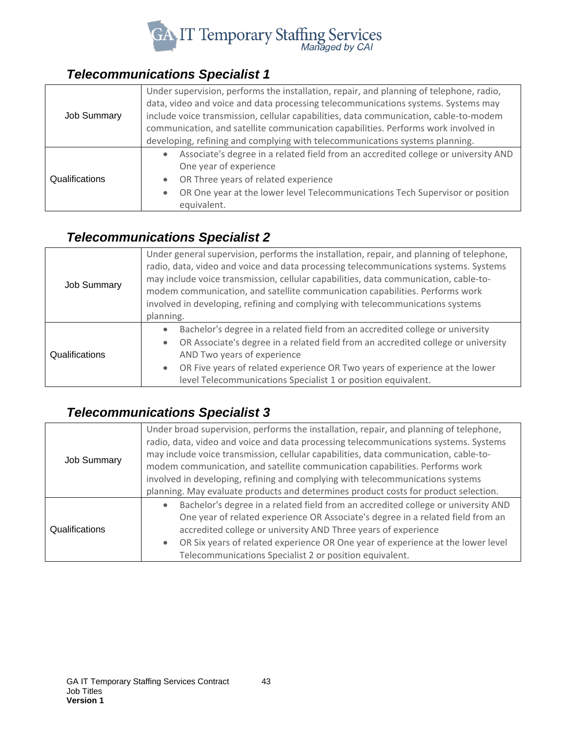

## <span id="page-42-0"></span>*Telecommunications Specialist 1*

| <b>Job Summary</b> | Under supervision, performs the installation, repair, and planning of telephone, radio,<br>data, video and voice and data processing telecommunications systems. Systems may<br>include voice transmission, cellular capabilities, data communication, cable-to-modem<br>communication, and satellite communication capabilities. Performs work involved in |
|--------------------|-------------------------------------------------------------------------------------------------------------------------------------------------------------------------------------------------------------------------------------------------------------------------------------------------------------------------------------------------------------|
|                    | developing, refining and complying with telecommunications systems planning.                                                                                                                                                                                                                                                                                |
|                    | Associate's degree in a related field from an accredited college or university AND                                                                                                                                                                                                                                                                          |
| Qualifications     | One year of experience                                                                                                                                                                                                                                                                                                                                      |
|                    | OR Three years of related experience                                                                                                                                                                                                                                                                                                                        |
|                    | OR One year at the lower level Telecommunications Tech Supervisor or position                                                                                                                                                                                                                                                                               |
|                    | equivalent.                                                                                                                                                                                                                                                                                                                                                 |

## <span id="page-42-1"></span>*Telecommunications Specialist 2*

| <b>Job Summary</b> | Under general supervision, performs the installation, repair, and planning of telephone,<br>radio, data, video and voice and data processing telecommunications systems. Systems<br>may include voice transmission, cellular capabilities, data communication, cable-to-<br>modem communication, and satellite communication capabilities. Performs work<br>involved in developing, refining and complying with telecommunications systems<br>planning. |
|--------------------|---------------------------------------------------------------------------------------------------------------------------------------------------------------------------------------------------------------------------------------------------------------------------------------------------------------------------------------------------------------------------------------------------------------------------------------------------------|
| Qualifications     | Bachelor's degree in a related field from an accredited college or university<br>$\bullet$<br>OR Associate's degree in a related field from an accredited college or university<br>$\bullet$<br>AND Two years of experience<br>OR Five years of related experience OR Two years of experience at the lower<br>$\bullet$<br>level Telecommunications Specialist 1 or position equivalent.                                                                |

## <span id="page-42-2"></span>*Telecommunications Specialist 3*

|                    | Under broad supervision, performs the installation, repair, and planning of telephone, |
|--------------------|----------------------------------------------------------------------------------------|
|                    | radio, data, video and voice and data processing telecommunications systems. Systems   |
|                    | may include voice transmission, cellular capabilities, data communication, cable-to-   |
| <b>Job Summary</b> | modem communication, and satellite communication capabilities. Performs work           |
|                    | involved in developing, refining and complying with telecommunications systems         |
|                    | planning. May evaluate products and determines product costs for product selection.    |
|                    | Bachelor's degree in a related field from an accredited college or university AND      |
|                    | One year of related experience OR Associate's degree in a related field from an        |
| Qualifications     | accredited college or university AND Three years of experience                         |
|                    | OR Six years of related experience OR One year of experience at the lower level        |
|                    | Telecommunications Specialist 2 or position equivalent.                                |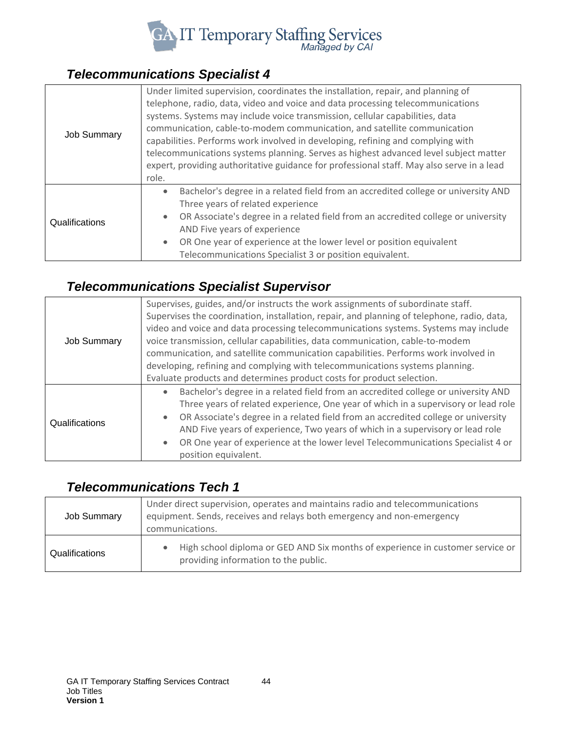

## <span id="page-43-0"></span>*Telecommunications Specialist 4*

| <b>Job Summary</b> | Under limited supervision, coordinates the installation, repair, and planning of<br>telephone, radio, data, video and voice and data processing telecommunications<br>systems. Systems may include voice transmission, cellular capabilities, data<br>communication, cable-to-modem communication, and satellite communication<br>capabilities. Performs work involved in developing, refining and complying with<br>telecommunications systems planning. Serves as highest advanced level subject matter<br>expert, providing authoritative guidance for professional staff. May also serve in a lead<br>role. |
|--------------------|-----------------------------------------------------------------------------------------------------------------------------------------------------------------------------------------------------------------------------------------------------------------------------------------------------------------------------------------------------------------------------------------------------------------------------------------------------------------------------------------------------------------------------------------------------------------------------------------------------------------|
| Qualifications     | Bachelor's degree in a related field from an accredited college or university AND<br>$\bullet$<br>Three years of related experience<br>OR Associate's degree in a related field from an accredited college or university<br>AND Five years of experience<br>OR One year of experience at the lower level or position equivalent<br>Telecommunications Specialist 3 or position equivalent.                                                                                                                                                                                                                      |

## <span id="page-43-1"></span>*Telecommunications Specialist Supervisor*

| <b>Job Summary</b> | Supervises, guides, and/or instructs the work assignments of subordinate staff.<br>Supervises the coordination, installation, repair, and planning of telephone, radio, data,<br>video and voice and data processing telecommunications systems. Systems may include<br>voice transmission, cellular capabilities, data communication, cable-to-modem<br>communication, and satellite communication capabilities. Performs work involved in<br>developing, refining and complying with telecommunications systems planning.<br>Evaluate products and determines product costs for product selection. |
|--------------------|------------------------------------------------------------------------------------------------------------------------------------------------------------------------------------------------------------------------------------------------------------------------------------------------------------------------------------------------------------------------------------------------------------------------------------------------------------------------------------------------------------------------------------------------------------------------------------------------------|
| Qualifications     | Bachelor's degree in a related field from an accredited college or university AND<br>Three years of related experience, One year of which in a supervisory or lead role<br>OR Associate's degree in a related field from an accredited college or university<br>$\bullet$<br>AND Five years of experience, Two years of which in a supervisory or lead role<br>OR One year of experience at the lower level Telecommunications Specialist 4 or<br>position equivalent.                                                                                                                               |

#### <span id="page-43-2"></span>*Telecommunications Tech 1*

| <b>Job Summary</b> | Under direct supervision, operates and maintains radio and telecommunications<br>equipment. Sends, receives and relays both emergency and non-emergency<br>communications. |
|--------------------|----------------------------------------------------------------------------------------------------------------------------------------------------------------------------|
| Qualifications     | High school diploma or GED AND Six months of experience in customer service or<br>providing information to the public.                                                     |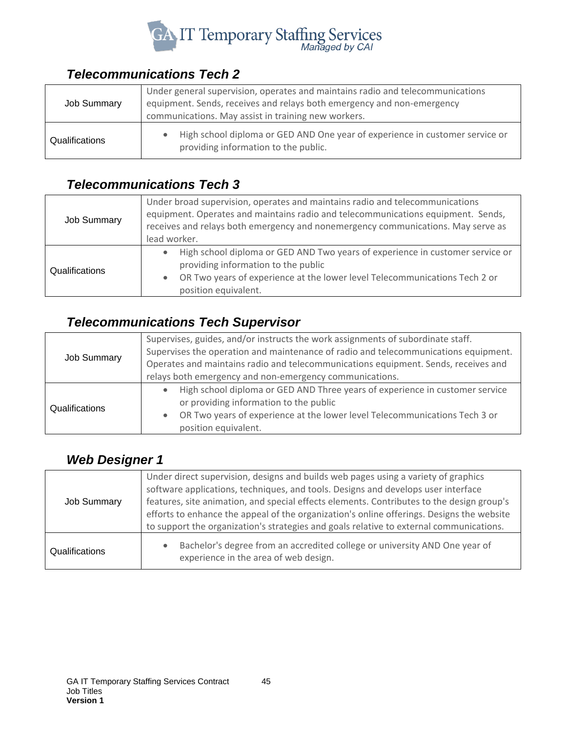

## <span id="page-44-0"></span>*Telecommunications Tech 2*

| <b>Job Summary</b> | Under general supervision, operates and maintains radio and telecommunications<br>equipment. Sends, receives and relays both emergency and non-emergency |
|--------------------|----------------------------------------------------------------------------------------------------------------------------------------------------------|
|                    | communications. May assist in training new workers.                                                                                                      |
| Qualifications     | High school diploma or GED AND One year of experience in customer service or<br>providing information to the public.                                     |

#### <span id="page-44-1"></span>*Telecommunications Tech 3*

| <b>Job Summary</b> | Under broad supervision, operates and maintains radio and telecommunications<br>equipment. Operates and maintains radio and telecommunications equipment. Sends,<br>receives and relays both emergency and nonemergency communications. May serve as<br>lead worker. |
|--------------------|----------------------------------------------------------------------------------------------------------------------------------------------------------------------------------------------------------------------------------------------------------------------|
| Qualifications     | High school diploma or GED AND Two years of experience in customer service or<br>providing information to the public<br>OR Two years of experience at the lower level Telecommunications Tech 2 or<br>position equivalent.                                           |

## <span id="page-44-2"></span>*Telecommunications Tech Supervisor*

| <b>Job Summary</b> | Supervises, guides, and/or instructs the work assignments of subordinate staff.     |
|--------------------|-------------------------------------------------------------------------------------|
|                    | Supervises the operation and maintenance of radio and telecommunications equipment. |
|                    | Operates and maintains radio and telecommunications equipment. Sends, receives and  |
|                    | relays both emergency and non-emergency communications.                             |
| Qualifications     | High school diploma or GED AND Three years of experience in customer service        |
|                    | or providing information to the public                                              |
|                    | OR Two years of experience at the lower level Telecommunications Tech 3 or          |
|                    | position equivalent.                                                                |

## <span id="page-44-3"></span>*Web Designer 1*

| <b>Job Summary</b> | Under direct supervision, designs and builds web pages using a variety of graphics<br>software applications, techniques, and tools. Designs and develops user interface<br>features, site animation, and special effects elements. Contributes to the design group's<br>efforts to enhance the appeal of the organization's online offerings. Designs the website<br>to support the organization's strategies and goals relative to external communications. |
|--------------------|--------------------------------------------------------------------------------------------------------------------------------------------------------------------------------------------------------------------------------------------------------------------------------------------------------------------------------------------------------------------------------------------------------------------------------------------------------------|
| Qualifications     | Bachelor's degree from an accredited college or university AND One year of<br>experience in the area of web design.                                                                                                                                                                                                                                                                                                                                          |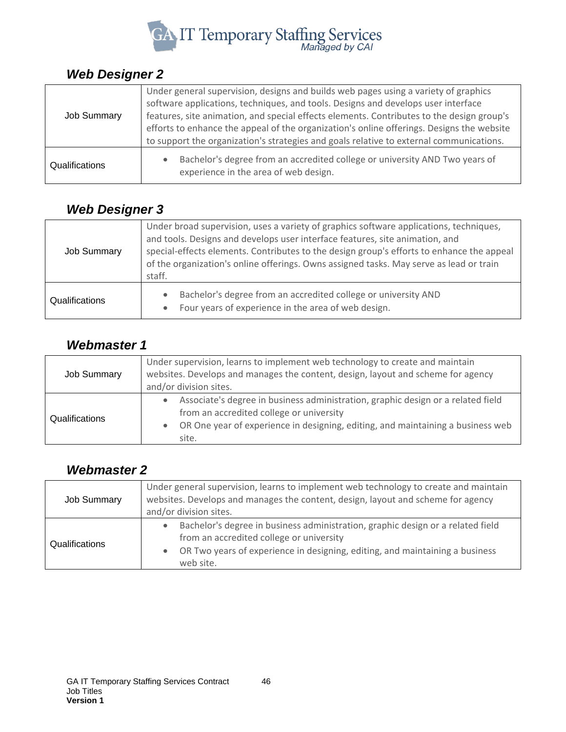

#### <span id="page-45-0"></span>*Web Designer 2*

| <b>Job Summary</b> | Under general supervision, designs and builds web pages using a variety of graphics<br>software applications, techniques, and tools. Designs and develops user interface<br>features, site animation, and special effects elements. Contributes to the design group's |
|--------------------|-----------------------------------------------------------------------------------------------------------------------------------------------------------------------------------------------------------------------------------------------------------------------|
|                    | efforts to enhance the appeal of the organization's online offerings. Designs the website<br>to support the organization's strategies and goals relative to external communications.                                                                                  |
| Qualifications     | Bachelor's degree from an accredited college or university AND Two years of<br>experience in the area of web design.                                                                                                                                                  |

## <span id="page-45-1"></span>*Web Designer 3*

| <b>Job Summary</b> | Under broad supervision, uses a variety of graphics software applications, techniques,<br>and tools. Designs and develops user interface features, site animation, and<br>special-effects elements. Contributes to the design group's efforts to enhance the appeal<br>of the organization's online offerings. Owns assigned tasks. May serve as lead or train<br>staff. |
|--------------------|--------------------------------------------------------------------------------------------------------------------------------------------------------------------------------------------------------------------------------------------------------------------------------------------------------------------------------------------------------------------------|
| Qualifications     | Bachelor's degree from an accredited college or university AND<br>Four years of experience in the area of web design.                                                                                                                                                                                                                                                    |

#### <span id="page-45-2"></span>*Webmaster 1*

| Job Summary    | Under supervision, learns to implement web technology to create and maintain<br>websites. Develops and manages the content, design, layout and scheme for agency<br>and/or division sites.                               |
|----------------|--------------------------------------------------------------------------------------------------------------------------------------------------------------------------------------------------------------------------|
| Qualifications | Associate's degree in business administration, graphic design or a related field<br>from an accredited college or university<br>OR One year of experience in designing, editing, and maintaining a business web<br>site. |

#### <span id="page-45-3"></span>*Webmaster 2*

| <b>Job Summary</b> | Under general supervision, learns to implement web technology to create and maintain<br>websites. Develops and manages the content, design, layout and scheme for agency<br>and/or division sites.                       |
|--------------------|--------------------------------------------------------------------------------------------------------------------------------------------------------------------------------------------------------------------------|
| Qualifications     | Bachelor's degree in business administration, graphic design or a related field<br>from an accredited college or university<br>OR Two years of experience in designing, editing, and maintaining a business<br>web site. |